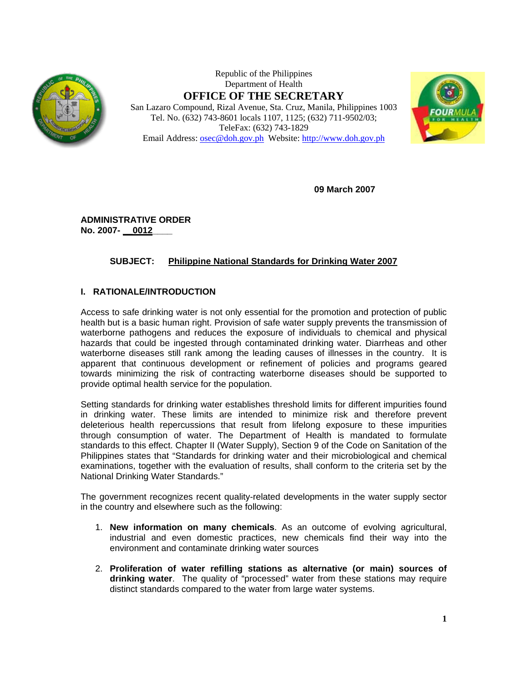

Republic of the Philippines Department of Health **OFFICE OF THE SECRETARY** San Lazaro Compound, Rizal Avenue, Sta. Cruz, Manila, Philippines 1003 Tel. No. (632) 743-8601 locals 1107, 1125; (632) 711-9502/03; TeleFax: (632) 743-1829

Email Address: osec@doh.gov.ph Website: http://www.doh.gov.ph



**09 March 2007** 

**ADMINISTRATIVE ORDER No. 2007- \_\_0012\_\_\_\_** 

# **SUBJECT: Philippine National Standards for Drinking Water 2007**

# **I. RATIONALE/INTRODUCTION**

Access to safe drinking water is not only essential for the promotion and protection of public health but is a basic human right. Provision of safe water supply prevents the transmission of waterborne pathogens and reduces the exposure of individuals to chemical and physical hazards that could be ingested through contaminated drinking water. Diarrheas and other waterborne diseases still rank among the leading causes of illnesses in the country. It is apparent that continuous development or refinement of policies and programs geared towards minimizing the risk of contracting waterborne diseases should be supported to provide optimal health service for the population.

Setting standards for drinking water establishes threshold limits for different impurities found in drinking water. These limits are intended to minimize risk and therefore prevent deleterious health repercussions that result from lifelong exposure to these impurities through consumption of water. The Department of Health is mandated to formulate standards to this effect. Chapter II (Water Supply), Section 9 of the Code on Sanitation of the Philippines states that "Standards for drinking water and their microbiological and chemical examinations, together with the evaluation of results, shall conform to the criteria set by the National Drinking Water Standards."

The government recognizes recent quality-related developments in the water supply sector in the country and elsewhere such as the following:

- 1. **New information on many chemicals**. As an outcome of evolving agricultural, industrial and even domestic practices, new chemicals find their way into the environment and contaminate drinking water sources
- 2. **Proliferation of water refilling stations as alternative (or main) sources of drinking water**. The quality of "processed" water from these stations may require distinct standards compared to the water from large water systems.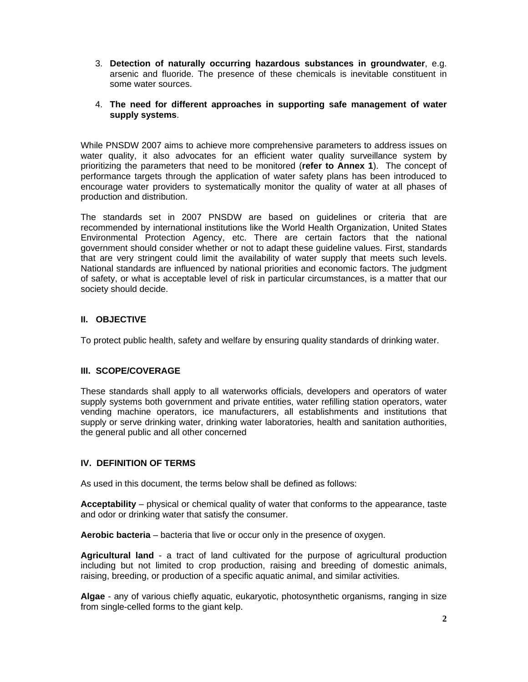- 3. **Detection of naturally occurring hazardous substances in groundwater**, e.g. arsenic and fluoride. The presence of these chemicals is inevitable constituent in some water sources.
- 4. **The need for different approaches in supporting safe management of water supply systems**.

While PNSDW 2007 aims to achieve more comprehensive parameters to address issues on water quality, it also advocates for an efficient water quality surveillance system by prioritizing the parameters that need to be monitored (**refer to Annex 1**). The concept of performance targets through the application of water safety plans has been introduced to encourage water providers to systematically monitor the quality of water at all phases of production and distribution.

The standards set in 2007 PNSDW are based on guidelines or criteria that are recommended by international institutions like the World Health Organization, United States Environmental Protection Agency, etc. There are certain factors that the national government should consider whether or not to adapt these guideline values. First, standards that are very stringent could limit the availability of water supply that meets such levels. National standards are influenced by national priorities and economic factors. The judgment of safety, or what is acceptable level of risk in particular circumstances, is a matter that our society should decide.

# **II. OBJECTIVE**

To protect public health, safety and welfare by ensuring quality standards of drinking water.

#### **III. SCOPE/COVERAGE**

These standards shall apply to all waterworks officials, developers and operators of water supply systems both government and private entities, water refilling station operators, water vending machine operators, ice manufacturers, all establishments and institutions that supply or serve drinking water, drinking water laboratories, health and sanitation authorities, the general public and all other concerned

#### **IV. DEFINITION OF TERMS**

As used in this document, the terms below shall be defined as follows:

**Acceptability** – physical or chemical quality of water that conforms to the appearance, taste and odor or drinking water that satisfy the consumer.

**Aerobic bacteria** – bacteria that live or occur only in the presence of oxygen.

**Agricultural land** - a tract of land cultivated for the purpose of agricultural production including but not limited to crop production, raising and breeding of domestic animals, raising, breeding, or production of a specific aquatic animal, and similar activities.

**Algae** - any of various chiefly aquatic, eukaryotic, photosynthetic organisms, ranging in size from single-celled forms to the giant kelp.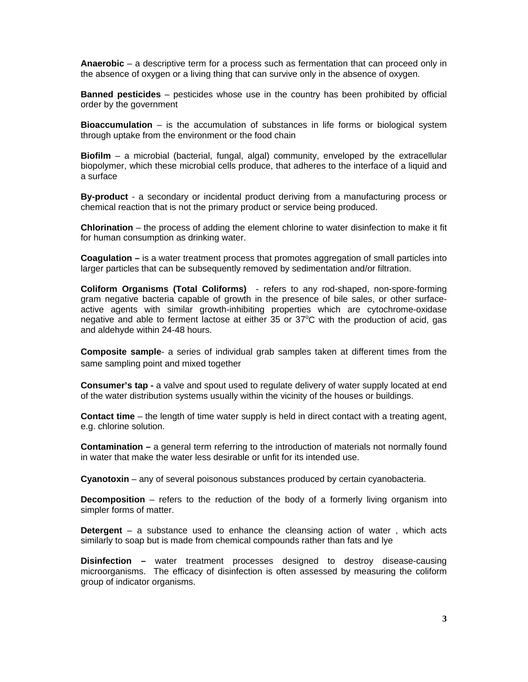**Anaerobic** – a descriptive term for a process such as fermentation that can proceed only in the absence of oxygen or a living thing that can survive only in the absence of oxygen.

**Banned pesticides** – pesticides whose use in the country has been prohibited by official order by the government

**Bioaccumulation** – is the accumulation of substances in life forms or biological system through uptake from the environment or the food chain

**Biofilm** – a microbial (bacterial, fungal, algal) community, enveloped by the extracellular biopolymer, which these microbial cells produce, that adheres to the interface of a liquid and a surface

**By-product** - a secondary or incidental product deriving from a manufacturing process or chemical reaction that is not the primary product or service being produced.

**Chlorination** – the process of adding the element chlorine to water disinfection to make it fit for human consumption as drinking water.

**Coagulation –** is a water treatment process that promotes aggregation of small particles into larger particles that can be subsequently removed by sedimentation and/or filtration.

**Coliform Organisms (Total Coliforms)** - refers to any rod-shaped, non-spore-forming gram negative bacteria capable of growth in the presence of bile sales, or other surfaceactive agents with similar growth-inhibiting properties which are cytochrome-oxidase negative and able to ferment lactose at either 35 or 37°C with the production of acid, gas and aldehyde within 24-48 hours.

**Composite sample**- a series of individual grab samples taken at different times from the same sampling point and mixed together

**Consumer's tap -** a valve and spout used to regulate delivery of water supply located at end of the water distribution systems usually within the vicinity of the houses or buildings.

**Contact time** – the length of time water supply is held in direct contact with a treating agent, e.g. chlorine solution.

**Contamination** – a general term referring to the introduction of materials not normally found in water that make the water less desirable or unfit for its intended use.

**Cyanotoxin** – any of several poisonous substances produced by certain cyanobacteria.

**Decomposition** – refers to the reduction of the body of a formerly living organism into simpler forms of matter.

**Detergent** – a substance used to enhance the cleansing action of water , which acts similarly to soap but is made from chemical compounds rather than fats and lye

**Disinfection –** water treatment processes designed to destroy disease-causing microorganisms. The efficacy of disinfection is often assessed by measuring the coliform group of indicator organisms.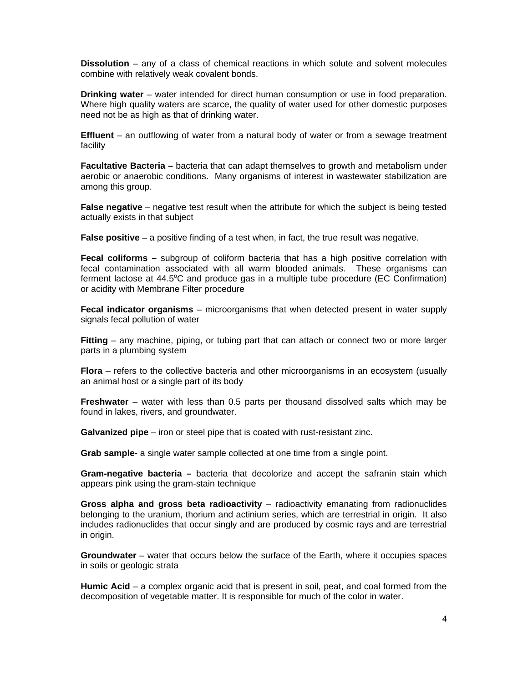**Dissolution** – any of a class of chemical reactions in which solute and solvent molecules combine with relatively weak covalent bonds.

**Drinking water** – water intended for direct human consumption or use in food preparation. Where high quality waters are scarce, the quality of water used for other domestic purposes need not be as high as that of drinking water.

**Effluent** – an outflowing of water from a natural body of water or from a sewage treatment facility

**Facultative Bacteria –** bacteria that can adapt themselves to growth and metabolism under aerobic or anaerobic conditions. Many organisms of interest in wastewater stabilization are among this group.

**False negative** – negative test result when the attribute for which the subject is being tested actually exists in that subject

**False positive** – a positive finding of a test when, in fact, the true result was negative.

**Fecal coliforms –** subgroup of coliform bacteria that has a high positive correlation with fecal contamination associated with all warm blooded animals. These organisms can ferment lactose at 44.5 $\degree$ C and produce gas in a multiple tube procedure (EC Confirmation) or acidity with Membrane Filter procedure

**Fecal indicator organisms** – microorganisms that when detected present in water supply signals fecal pollution of water

**Fitting** – any machine, piping, or tubing part that can attach or connect two or more larger parts in a plumbing system

**Flora** – refers to the collective bacteria and other microorganisms in an ecosystem (usually an animal host or a single part of its body

**Freshwater** – water with less than 0.5 parts per thousand dissolved salts which may be found in lakes, rivers, and groundwater.

**Galvanized pipe** – iron or steel pipe that is coated with rust-resistant zinc.

**Grab sample-** a single water sample collected at one time from a single point.

**Gram-negative bacteria –** bacteria that decolorize and accept the safranin stain which appears pink using the gram-stain technique

**Gross alpha and gross beta radioactivity** – radioactivity emanating from radionuclides belonging to the uranium, thorium and actinium series, which are terrestrial in origin. It also includes radionuclides that occur singly and are produced by cosmic rays and are terrestrial in origin.

**Groundwater** – water that occurs below the surface of the Earth, where it occupies spaces in soils or geologic strata

**Humic Acid** – a complex organic acid that is present in soil, peat, and coal formed from the decomposition of vegetable matter. It is responsible for much of the color in water.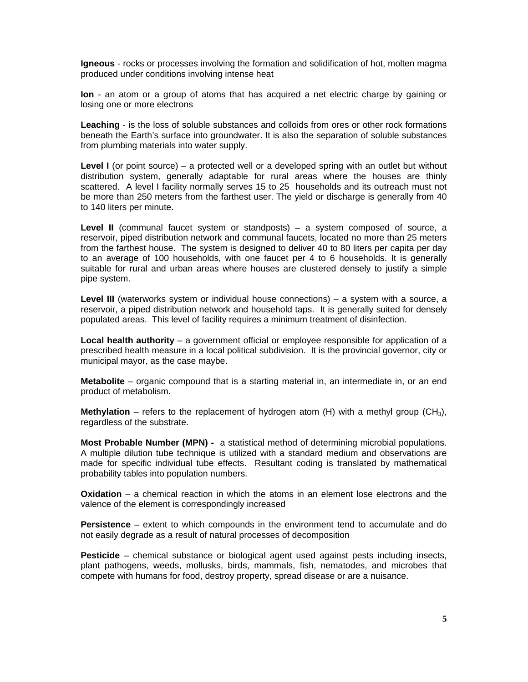**Igneous** - rocks or processes involving the formation and solidification of hot, molten magma produced under conditions involving intense heat

**Ion** - an atom or a group of atoms that has acquired a net electric charge by gaining or losing one or more electrons

**Leaching** - is the loss of soluble substances and colloids from ores or other rock formations beneath the Earth's surface into groundwater. It is also the separation of soluble substances from plumbing materials into water supply.

**Level I** (or point source) – a protected well or a developed spring with an outlet but without distribution system, generally adaptable for rural areas where the houses are thinly scattered. A level I facility normally serves 15 to 25 households and its outreach must not be more than 250 meters from the farthest user. The yield or discharge is generally from 40 to 140 liters per minute.

**Level II** (communal faucet system or standposts) – a system composed of source, a reservoir, piped distribution network and communal faucets, located no more than 25 meters from the farthest house. The system is designed to deliver 40 to 80 liters per capita per day to an average of 100 households, with one faucet per 4 to 6 households. It is generally suitable for rural and urban areas where houses are clustered densely to justify a simple pipe system.

**Level III** (waterworks system or individual house connections) – a system with a source, a reservoir, a piped distribution network and household taps. It is generally suited for densely populated areas. This level of facility requires a minimum treatment of disinfection.

**Local health authority** – a government official or employee responsible for application of a prescribed health measure in a local political subdivision. It is the provincial governor, city or municipal mayor, as the case maybe.

**Metabolite** – organic compound that is a starting material in, an intermediate in, or an end product of metabolism.

**Methylation** – refers to the replacement of hydrogen atom (H) with a methyl group (CH<sub>3</sub>), regardless of the substrate.

**Most Probable Number (MPN) -** a statistical method of determining microbial populations. A multiple dilution tube technique is utilized with a standard medium and observations are made for specific individual tube effects. Resultant coding is translated by mathematical probability tables into population numbers.

**Oxidation** – a chemical reaction in which the atoms in an element lose electrons and the valence of the element is correspondingly increased

**Persistence** – extent to which compounds in the environment tend to accumulate and do not easily degrade as a result of natural processes of decomposition

**Pesticide** – chemical substance or biological agent used against pests including insects, plant pathogens, weeds, mollusks, birds, mammals, fish, nematodes, and microbes that compete with humans for food, destroy property, spread disease or are a nuisance.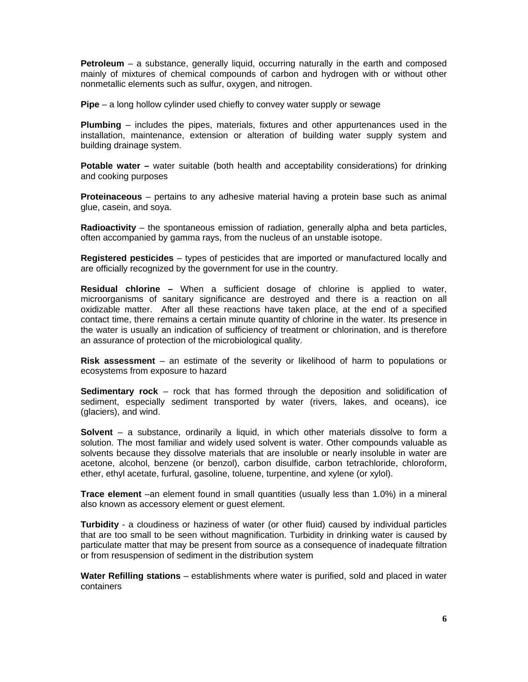**Petroleum** – a substance, generally liquid, occurring naturally in the earth and composed mainly of mixtures of chemical compounds of carbon and hydrogen with or without other nonmetallic elements such as sulfur, oxygen, and nitrogen.

**Pipe** – a long hollow cylinder used chiefly to convey water supply or sewage

**Plumbing** – includes the pipes, materials, fixtures and other appurtenances used in the installation, maintenance, extension or alteration of building water supply system and building drainage system.

**Potable water –** water suitable (both health and acceptability considerations) for drinking and cooking purposes

**Proteinaceous** – pertains to any adhesive material having a protein base such as animal glue, casein, and soya.

**Radioactivity** – the spontaneous emission of radiation, generally alpha and beta particles, often accompanied by gamma rays, from the nucleus of an unstable isotope.

**Registered pesticides** – types of pesticides that are imported or manufactured locally and are officially recognized by the government for use in the country.

**Residual chlorine –** When a sufficient dosage of chlorine is applied to water, microorganisms of sanitary significance are destroyed and there is a reaction on all oxidizable matter. After all these reactions have taken place, at the end of a specified contact time, there remains a certain minute quantity of chlorine in the water. Its presence in the water is usually an indication of sufficiency of treatment or chlorination, and is therefore an assurance of protection of the microbiological quality.

**Risk assessment** – an estimate of the severity or likelihood of harm to populations or ecosystems from exposure to hazard

**Sedimentary rock** – rock that has formed through the deposition and solidification of sediment, especially sediment transported by water (rivers, lakes, and oceans), ice (glaciers), and wind.

**Solvent** – a substance, ordinarily a liquid, in which other materials dissolve to form a solution. The most familiar and widely used solvent is water. Other compounds valuable as solvents because they dissolve materials that are insoluble or nearly insoluble in water are acetone, alcohol, benzene (or benzol), carbon disulfide, carbon tetrachloride, chloroform, ether, ethyl acetate, furfural, gasoline, toluene, turpentine, and xylene (or xylol).

**Trace element** –an element found in small quantities (usually less than 1.0%) in a mineral also known as accessory element or guest element.

**Turbidity** - a cloudiness or haziness of water (or other fluid) caused by individual particles that are too small to be seen without magnification. Turbidity in drinking water is caused by particulate matter that may be present from source as a consequence of inadequate filtration or from resuspension of sediment in the distribution system

**Water Refilling stations** – establishments where water is purified, sold and placed in water containers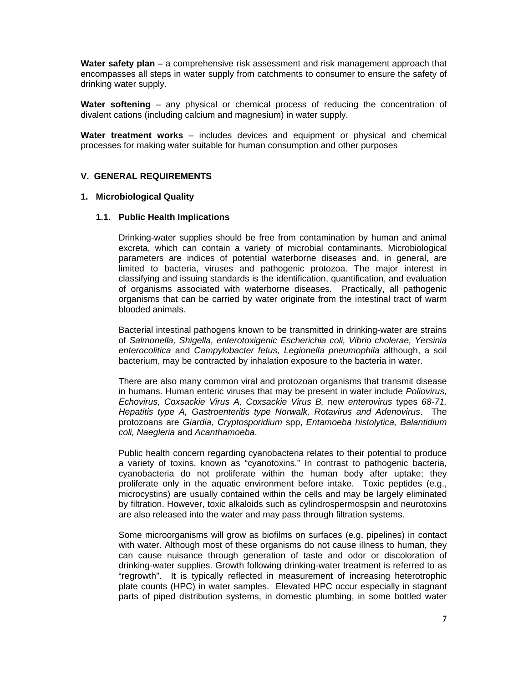**Water safety plan** – a comprehensive risk assessment and risk management approach that encompasses all steps in water supply from catchments to consumer to ensure the safety of drinking water supply.

**Water softening** – any physical or chemical process of reducing the concentration of divalent cations (including calcium and magnesium) in water supply.

**Water treatment works** – includes devices and equipment or physical and chemical processes for making water suitable for human consumption and other purposes

#### **V. GENERAL REQUIREMENTS**

#### **1. Microbiological Quality**

#### **1.1. Public Health Implications**

Drinking-water supplies should be free from contamination by human and animal excreta, which can contain a variety of microbial contaminants. Microbiological parameters are indices of potential waterborne diseases and, in general, are limited to bacteria, viruses and pathogenic protozoa. The major interest in classifying and issuing standards is the identification, quantification, and evaluation of organisms associated with waterborne diseases. Practically, all pathogenic organisms that can be carried by water originate from the intestinal tract of warm blooded animals.

Bacterial intestinal pathogens known to be transmitted in drinking-water are strains of *Salmonella, Shigella, enterotoxigenic Escherichia coli, Vibrio cholerae, Yersinia enterocolitica* and *Campylobacter fetus, Legionella pneumophila* although, a soil bacterium, may be contracted by inhalation exposure to the bacteria in water.

There are also many common viral and protozoan organisms that transmit disease in humans. Human enteric viruses that may be present in water include *Poliovirus, Echovirus, Coxsackie Virus A, Coxsackie Virus B,* new *enterovirus* types *68-71, Hepatitis type A, Gastroenteritis type Norwalk, Rotavirus and Adenovirus*. The protozoans are *Giardia*, *Cryptosporidium* spp, *Entamoeba histolytica, Balantidium coli, Naegleria* and *Acanthamoeba*.

Public health concern regarding cyanobacteria relates to their potential to produce a variety of toxins, known as "cyanotoxins." In contrast to pathogenic bacteria, cyanobacteria do not proliferate within the human body after uptake; they proliferate only in the aquatic environment before intake. Toxic peptides (e.g., microcystins) are usually contained within the cells and may be largely eliminated by filtration. However, toxic alkaloids such as cylindrospermospsin and neurotoxins are also released into the water and may pass through filtration systems.

Some microorganisms will grow as biofilms on surfaces (e.g. pipelines) in contact with water. Although most of these organisms do not cause illness to human, they can cause nuisance through generation of taste and odor or discoloration of drinking-water supplies. Growth following drinking-water treatment is referred to as "regrowth". It is typically reflected in measurement of increasing heterotrophic plate counts (HPC) in water samples. Elevated HPC occur especially in stagnant parts of piped distribution systems, in domestic plumbing, in some bottled water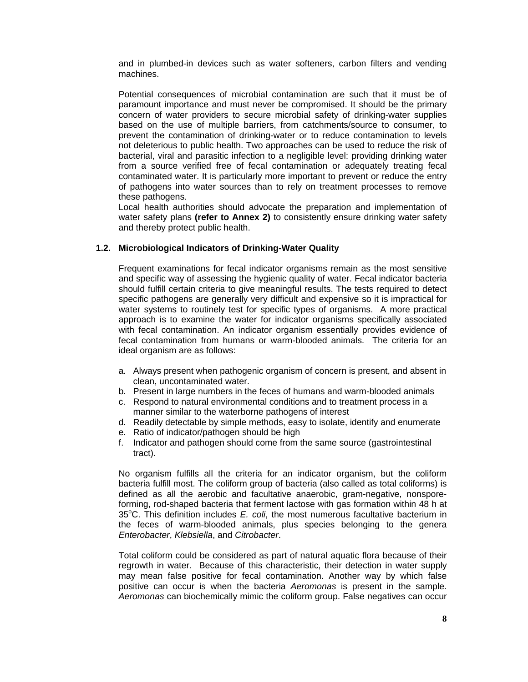and in plumbed-in devices such as water softeners, carbon filters and vending machines.

Potential consequences of microbial contamination are such that it must be of paramount importance and must never be compromised. It should be the primary concern of water providers to secure microbial safety of drinking-water supplies based on the use of multiple barriers, from catchments/source to consumer, to prevent the contamination of drinking-water or to reduce contamination to levels not deleterious to public health. Two approaches can be used to reduce the risk of bacterial, viral and parasitic infection to a negligible level: providing drinking water from a source verified free of fecal contamination or adequately treating fecal contaminated water. It is particularly more important to prevent or reduce the entry of pathogens into water sources than to rely on treatment processes to remove these pathogens.

Local health authorities should advocate the preparation and implementation of water safety plans **(refer to Annex 2)** to consistently ensure drinking water safety and thereby protect public health.

## **1.2. Microbiological Indicators of Drinking-Water Quality**

Frequent examinations for fecal indicator organisms remain as the most sensitive and specific way of assessing the hygienic quality of water. Fecal indicator bacteria should fulfill certain criteria to give meaningful results. The tests required to detect specific pathogens are generally very difficult and expensive so it is impractical for water systems to routinely test for specific types of organisms. A more practical approach is to examine the water for indicator organisms specifically associated with fecal contamination. An indicator organism essentially provides evidence of fecal contamination from humans or warm-blooded animals. The criteria for an ideal organism are as follows:

- a. Always present when pathogenic organism of concern is present, and absent in clean, uncontaminated water.
- b. Present in large numbers in the feces of humans and warm-blooded animals
- c. Respond to natural environmental conditions and to treatment process in a manner similar to the waterborne pathogens of interest
- d. Readily detectable by simple methods, easy to isolate, identify and enumerate
- e. Ratio of indicator/pathogen should be high
- f. Indicator and pathogen should come from the same source (gastrointestinal tract).

No organism fulfills all the criteria for an indicator organism, but the coliform bacteria fulfill most. The coliform group of bacteria (also called as total coliforms) is defined as all the aerobic and facultative anaerobic, gram-negative, nonsporeforming, rod-shaped bacteria that ferment lactose with gas formation within 48 h at 35°C. This definition includes *E. coli*, the most numerous facultative bacterium in the feces of warm-blooded animals, plus species belonging to the genera *Enterobacter*, *Klebsiella*, and *Citrobacter*.

Total coliform could be considered as part of natural aquatic flora because of their regrowth in water. Because of this characteristic, their detection in water supply may mean false positive for fecal contamination. Another way by which false positive can occur is when the bacteria *Aeromonas* is present in the sample. *Aeromonas* can biochemically mimic the coliform group. False negatives can occur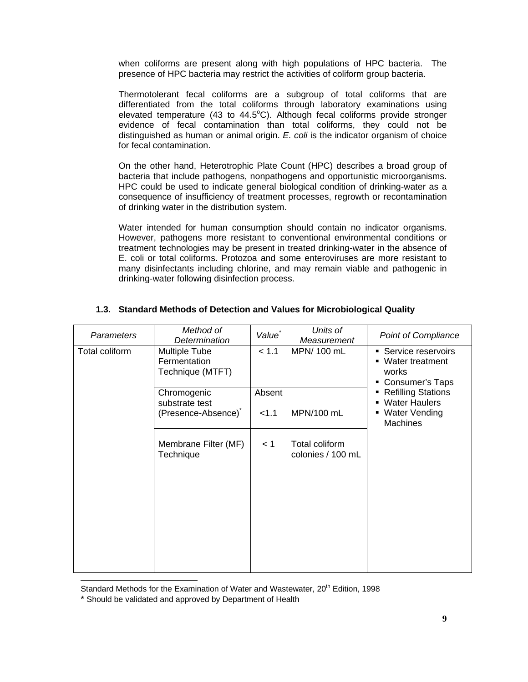when coliforms are present along with high populations of HPC bacteria. The presence of HPC bacteria may restrict the activities of coliform group bacteria.

Thermotolerant fecal coliforms are a subgroup of total coliforms that are differentiated from the total coliforms through laboratory examinations using elevated temperature (43 to 44.5°C). Although fecal coliforms provide stronger evidence of fecal contamination than total coliforms, they could not be distinguished as human or animal origin. *E. coli* is the indicator organism of choice for fecal contamination.

On the other hand, Heterotrophic Plate Count (HPC) describes a broad group of bacteria that include pathogens, nonpathogens and opportunistic microorganisms. HPC could be used to indicate general biological condition of drinking-water as a consequence of insufficiency of treatment processes, regrowth or recontamination of drinking water in the distribution system.

Water intended for human consumption should contain no indicator organisms. However, pathogens more resistant to conventional environmental conditions or treatment technologies may be present in treated drinking-water in the absence of E. coli or total coliforms. Protozoa and some enteroviruses are more resistant to many disinfectants including chlorine, and may remain viable and pathogenic in drinking-water following disinfection process.

| <b>Parameters</b> | Method of<br>Determination                                       | Value <sup>*</sup> | Units of<br>Measurement             | <b>Point of Compliance</b>                                                                                |
|-------------------|------------------------------------------------------------------|--------------------|-------------------------------------|-----------------------------------------------------------------------------------------------------------|
| Total coliform    | <b>Multiple Tube</b><br>Fermentation<br>Technique (MTFT)         | < 1.1              | MPN/ 100 mL                         | • Service reservoirs<br>• Water treatment<br>works<br>Consumer's Taps                                     |
|                   | Chromogenic<br>substrate test<br>(Presence-Absence) <sup>*</sup> | Absent<br>< 1.1    | MPN/100 mL                          | <b>Refilling Stations</b><br><b>Water Haulers</b><br>$\blacksquare$<br>■ Water Vending<br><b>Machines</b> |
|                   | Membrane Filter (MF)<br>Technique                                | < 1                | Total coliform<br>colonies / 100 mL |                                                                                                           |

# **1.3. Standard Methods of Detection and Values for Microbiological Quality**

Standard Methods for the Examination of Water and Wastewater, 20<sup>th</sup> Edition, 1998

 $\overline{a}$ 

<sup>\*</sup> Should be validated and approved by Department of Health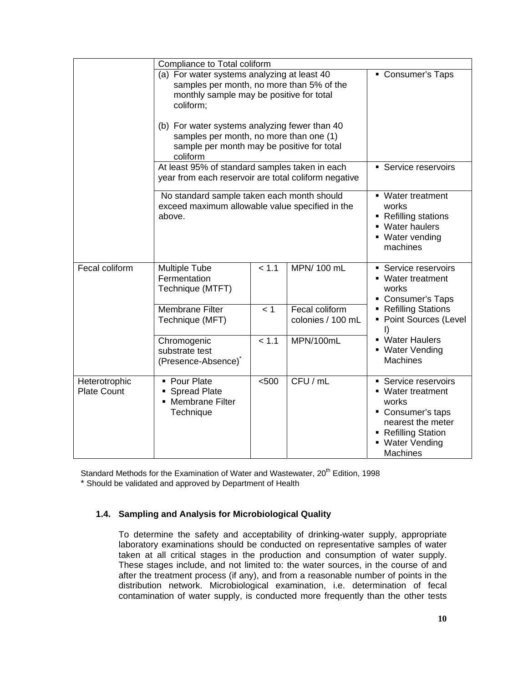|                                     | Compliance to Total coliform                                                                                                                                                                                                                  |       |                                     |                                                                                                                                                  |
|-------------------------------------|-----------------------------------------------------------------------------------------------------------------------------------------------------------------------------------------------------------------------------------------------|-------|-------------------------------------|--------------------------------------------------------------------------------------------------------------------------------------------------|
|                                     | (a) For water systems analyzing at least 40<br>samples per month, no more than 5% of the<br>monthly sample may be positive for total<br>coliform;<br>(b) For water systems analyzing fewer than 40<br>samples per month, no more than one (1) |       |                                     | Consumer's Taps                                                                                                                                  |
|                                     | sample per month may be positive for total<br>coliform                                                                                                                                                                                        |       |                                     |                                                                                                                                                  |
|                                     | At least 95% of standard samples taken in each<br>year from each reservoir are total coliform negative                                                                                                                                        |       |                                     | • Service reservoirs                                                                                                                             |
|                                     | No standard sample taken each month should<br>exceed maximum allowable value specified in the<br>above.                                                                                                                                       |       |                                     | ■ Water treatment<br>works<br>■ Refilling stations<br>• Water haulers<br>■ Water vending<br>machines                                             |
| Fecal coliform                      | <b>Multiple Tube</b><br>Fermentation<br>Technique (MTFT)                                                                                                                                                                                      | < 1.1 | MPN/ 100 mL                         | Service reservoirs<br>■ Water treatment<br>works<br>Consumer's Taps                                                                              |
|                                     | <b>Membrane Filter</b><br>Technique (MFT)                                                                                                                                                                                                     | < 1   | Fecal coliform<br>colonies / 100 mL | Refilling Stations<br>• Point Sources (Level<br>$\vert$                                                                                          |
|                                     | Chromogenic<br>substrate test<br>(Presence-Absence) <sup>*</sup>                                                                                                                                                                              | < 1.1 | MPN/100mL                           | • Water Haulers<br>• Water Vending<br><b>Machines</b>                                                                                            |
| Heterotrophic<br><b>Plate Count</b> | • Pour Plate<br>Spread Plate<br>• Membrane Filter<br>Technique                                                                                                                                                                                | < 500 | CFU / mL                            | Service reservoirs<br>■ Water treatment<br>works<br>• Consumer's taps<br>nearest the meter<br>■ Refilling Station<br>• Water Vending<br>Machines |

Standard Methods for the Examination of Water and Wastewater, 20<sup>th</sup> Edition, 1998

\* Should be validated and approved by Department of Health

# **1.4. Sampling and Analysis for Microbiological Quality**

To determine the safety and acceptability of drinking-water supply, appropriate laboratory examinations should be conducted on representative samples of water taken at all critical stages in the production and consumption of water supply. These stages include, and not limited to: the water sources, in the course of and after the treatment process (if any), and from a reasonable number of points in the distribution network. Microbiological examination, i.e. determination of fecal contamination of water supply, is conducted more frequently than the other tests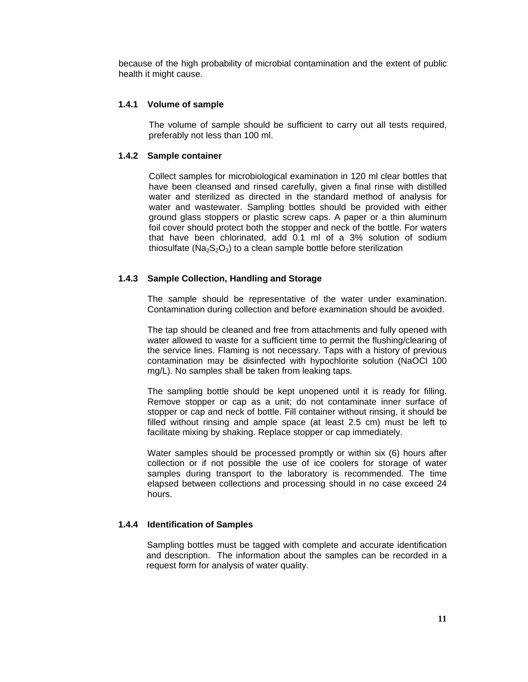because of the high probability of microbial contamination and the extent of public health it might cause.

## **1.4.1 Volume of sample**

The volume of sample should be sufficient to carry out all tests required, preferably not less than 100 ml.

## **1.4.2 Sample container**

Collect samples for microbiological examination in 120 ml clear bottles that have been cleansed and rinsed carefully, given a final rinse with distilled water and sterilized as directed in the standard method of analysis for water and wastewater. Sampling bottles should be provided with either ground glass stoppers or plastic screw caps. A paper or a thin aluminum foil cover should protect both the stopper and neck of the bottle. For waters that have been chlorinated, add 0.1 ml of a 3% solution of sodium thiosulfate ( $Na<sub>2</sub>S<sub>2</sub>O<sub>3</sub>$ ) to a clean sample bottle before sterilization

## **1.4.3 Sample Collection, Handling and Storage**

The sample should be representative of the water under examination. Contamination during collection and before examination should be avoided.

The tap should be cleaned and free from attachments and fully opened with water allowed to waste for a sufficient time to permit the flushing/clearing of the service lines. Flaming is not necessary. Taps with a history of previous contamination may be disinfected with hypochlorite solution (NaOCl 100 mg/L). No samples shall be taken from leaking taps.

The sampling bottle should be kept unopened until it is ready for filling. Remove stopper or cap as a unit; do not contaminate inner surface of stopper or cap and neck of bottle. Fill container without rinsing, it should be filled without rinsing and ample space (at least 2.5 cm) must be left to facilitate mixing by shaking. Replace stopper or cap immediately.

Water samples should be processed promptly or within six (6) hours after collection or if not possible the use of ice coolers for storage of water samples during transport to the laboratory is recommended. The time elapsed between collections and processing should in no case exceed 24 hours.

# **1.4.4 Identification of Samples**

Sampling bottles must be tagged with complete and accurate identification and description. The information about the samples can be recorded in a request form for analysis of water quality.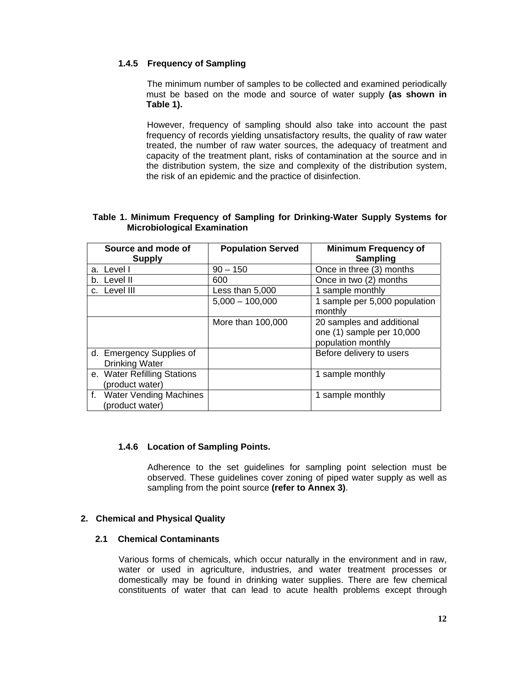# **1.4.5 Frequency of Sampling**

The minimum number of samples to be collected and examined periodically must be based on the mode and source of water supply **(as shown in Table 1).** 

However, frequency of sampling should also take into account the past frequency of records yielding unsatisfactory results, the quality of raw water treated, the number of raw water sources, the adequacy of treatment and capacity of the treatment plant, risks of contamination at the source and in the distribution system, the size and complexity of the distribution system, the risk of an epidemic and the practice of disinfection.

### **Table 1. Minimum Frequency of Sampling for Drinking-Water Supply Systems for Microbiological Examination**

| Source and mode of<br><b>Supply</b>               | <b>Population Served</b> | <b>Minimum Frequency of</b><br><b>Sampling</b>                               |
|---------------------------------------------------|--------------------------|------------------------------------------------------------------------------|
| a. Level I                                        | $90 - 150$               | Once in three (3) months                                                     |
| b. Level II                                       | 600                      | Once in two (2) months                                                       |
| c. Level III                                      | Less than 5,000          | 1 sample monthly                                                             |
|                                                   | $5,000 - 100,000$        | 1 sample per 5,000 population<br>monthly                                     |
|                                                   | More than 100,000        | 20 samples and additional<br>one (1) sample per 10,000<br>population monthly |
| d. Emergency Supplies of<br><b>Drinking Water</b> |                          | Before delivery to users                                                     |
| e. Water Refilling Stations<br>(product water)    |                          | 1 sample monthly                                                             |
| f. Water Vending Machines<br>(product water)      |                          | 1 sample monthly                                                             |

#### **1.4.6 Location of Sampling Points.**

Adherence to the set guidelines for sampling point selection must be observed. These guidelines cover zoning of piped water supply as well as sampling from the point source **(refer to Annex 3)**.

#### **2. Chemical and Physical Quality**

#### **2.1 Chemical Contaminants**

Various forms of chemicals, which occur naturally in the environment and in raw, water or used in agriculture, industries, and water treatment processes or domestically may be found in drinking water supplies. There are few chemical constituents of water that can lead to acute health problems except through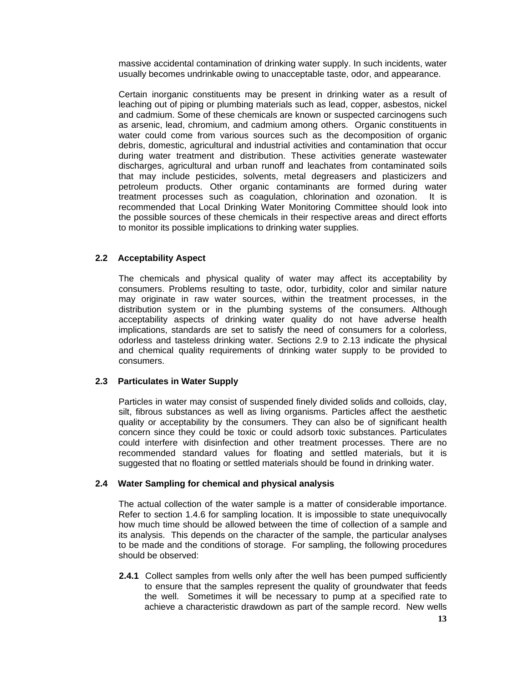massive accidental contamination of drinking water supply. In such incidents, water usually becomes undrinkable owing to unacceptable taste, odor, and appearance.

Certain inorganic constituents may be present in drinking water as a result of leaching out of piping or plumbing materials such as lead, copper, asbestos, nickel and cadmium. Some of these chemicals are known or suspected carcinogens such as arsenic, lead, chromium, and cadmium among others. Organic constituents in water could come from various sources such as the decomposition of organic debris, domestic, agricultural and industrial activities and contamination that occur during water treatment and distribution. These activities generate wastewater discharges, agricultural and urban runoff and leachates from contaminated soils that may include pesticides, solvents, metal degreasers and plasticizers and petroleum products. Other organic contaminants are formed during water treatment processes such as coagulation, chlorination and ozonation. It is recommended that Local Drinking Water Monitoring Committee should look into the possible sources of these chemicals in their respective areas and direct efforts to monitor its possible implications to drinking water supplies.

## **2.2 Acceptability Aspect**

The chemicals and physical quality of water may affect its acceptability by consumers. Problems resulting to taste, odor, turbidity, color and similar nature may originate in raw water sources, within the treatment processes, in the distribution system or in the plumbing systems of the consumers. Although acceptability aspects of drinking water quality do not have adverse health implications, standards are set to satisfy the need of consumers for a colorless, odorless and tasteless drinking water. Sections 2.9 to 2.13 indicate the physical and chemical quality requirements of drinking water supply to be provided to consumers.

#### **2.3 Particulates in Water Supply**

Particles in water may consist of suspended finely divided solids and colloids, clay, silt, fibrous substances as well as living organisms. Particles affect the aesthetic quality or acceptability by the consumers. They can also be of significant health concern since they could be toxic or could adsorb toxic substances. Particulates could interfere with disinfection and other treatment processes. There are no recommended standard values for floating and settled materials, but it is suggested that no floating or settled materials should be found in drinking water.

#### **2.4 Water Sampling for chemical and physical analysis**

The actual collection of the water sample is a matter of considerable importance. Refer to section 1.4.6 for sampling location. It is impossible to state unequivocally how much time should be allowed between the time of collection of a sample and its analysis. This depends on the character of the sample, the particular analyses to be made and the conditions of storage. For sampling, the following procedures should be observed:

**2.4.1** Collect samples from wells only after the well has been pumped sufficiently to ensure that the samples represent the quality of groundwater that feeds the well. Sometimes it will be necessary to pump at a specified rate to achieve a characteristic drawdown as part of the sample record. New wells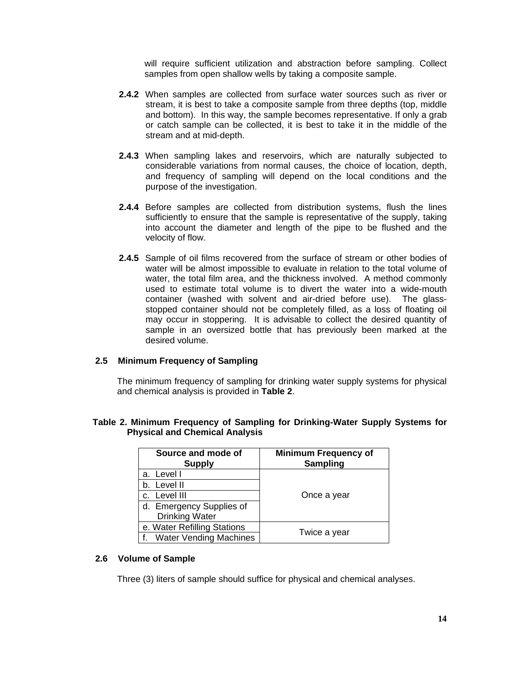will require sufficient utilization and abstraction before sampling. Collect samples from open shallow wells by taking a composite sample.

- **2.4.2** When samples are collected from surface water sources such as river or stream, it is best to take a composite sample from three depths (top, middle and bottom). In this way, the sample becomes representative. If only a grab or catch sample can be collected, it is best to take it in the middle of the stream and at mid-depth.
- **2.4.3** When sampling lakes and reservoirs, which are naturally subjected to considerable variations from normal causes, the choice of location, depth, and frequency of sampling will depend on the local conditions and the purpose of the investigation.
- **2.4.4** Before samples are collected from distribution systems, flush the lines sufficiently to ensure that the sample is representative of the supply, taking into account the diameter and length of the pipe to be flushed and the velocity of flow.
- **2.4.5** Sample of oil films recovered from the surface of stream or other bodies of water will be almost impossible to evaluate in relation to the total volume of water, the total film area, and the thickness involved. A method commonly used to estimate total volume is to divert the water into a wide-mouth container (washed with solvent and air-dried before use). The glassstopped container should not be completely filled, as a loss of floating oil may occur in stoppering. It is advisable to collect the desired quantity of sample in an oversized bottle that has previously been marked at the desired volume.

## **2.5 Minimum Frequency of Sampling**

The minimum frequency of sampling for drinking water supply systems for physical and chemical analysis is provided in **Table 2**.

| Source and mode of<br><b>Supply</b> | <b>Minimum Frequency of</b><br><b>Sampling</b> |
|-------------------------------------|------------------------------------------------|
| a. Level I                          |                                                |
| b. Level II                         |                                                |
| c. Level III                        | Once a year                                    |
| d. Emergency Supplies of            |                                                |
| <b>Drinking Water</b>               |                                                |
| e. Water Refilling Stations         |                                                |
| f. Water Vending Machines           | Twice a year                                   |

## **Table 2. Minimum Frequency of Sampling for Drinking-Water Supply Systems for Physical and Chemical Analysis**

#### **2.6 Volume of Sample**

Three (3) liters of sample should suffice for physical and chemical analyses.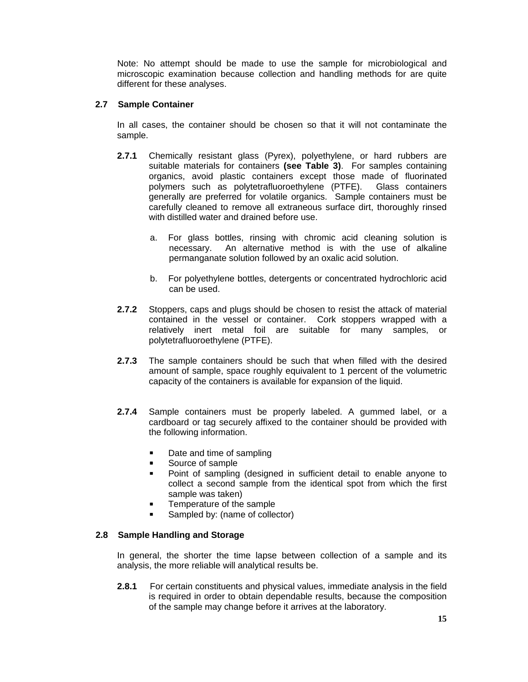Note: No attempt should be made to use the sample for microbiological and microscopic examination because collection and handling methods for are quite different for these analyses.

# **2.7 Sample Container**

In all cases, the container should be chosen so that it will not contaminate the sample.

- **2.7.1** Chemically resistant glass (Pyrex), polyethylene, or hard rubbers are suitable materials for containers **(see Table 3)**. For samples containing organics, avoid plastic containers except those made of fluorinated polymers such as polytetrafluoroethylene (PTFE). Glass containers generally are preferred for volatile organics. Sample containers must be carefully cleaned to remove all extraneous surface dirt, thoroughly rinsed with distilled water and drained before use.
	- a. For glass bottles, rinsing with chromic acid cleaning solution is necessary. An alternative method is with the use of alkaline permanganate solution followed by an oxalic acid solution.
	- b. For polyethylene bottles, detergents or concentrated hydrochloric acid can be used.
- **2.7.2** Stoppers, caps and plugs should be chosen to resist the attack of material contained in the vessel or container. Cork stoppers wrapped with a relatively inert metal foil are suitable for many samples, or polytetrafluoroethylene (PTFE).
- **2.7.3** The sample containers should be such that when filled with the desired amount of sample, space roughly equivalent to 1 percent of the volumetric capacity of the containers is available for expansion of the liquid.
- **2.7.4** Sample containers must be properly labeled. A gummed label, or a cardboard or tag securely affixed to the container should be provided with the following information.
	- Date and time of sampling
	- Source of sample
	- **Point of sampling (designed in sufficient detail to enable anyone to** collect a second sample from the identical spot from which the first sample was taken)
	- **Temperature of the sample**
	- Sampled by: (name of collector)

#### **2.8 Sample Handling and Storage**

In general, the shorter the time lapse between collection of a sample and its analysis, the more reliable will analytical results be.

**2.8.1** For certain constituents and physical values, immediate analysis in the field is required in order to obtain dependable results, because the composition of the sample may change before it arrives at the laboratory.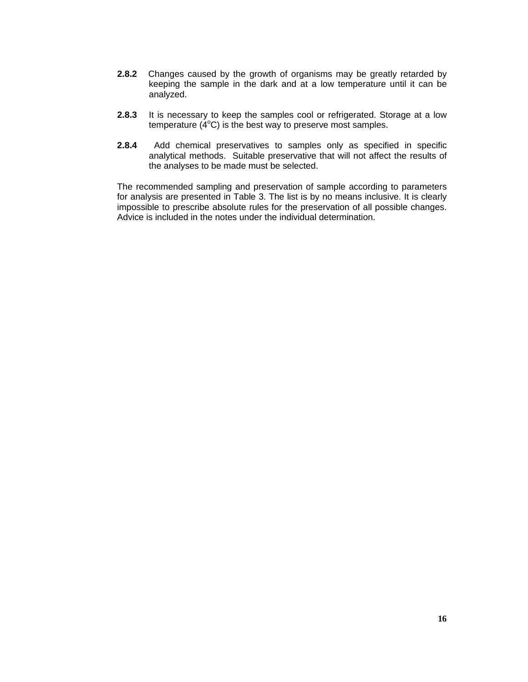- **2.8.2** Changes caused by the growth of organisms may be greatly retarded by keeping the sample in the dark and at a low temperature until it can be analyzed.
- **2.8.3** It is necessary to keep the samples cool or refrigerated. Storage at a low temperature  $(4^{\circ}C)$  is the best way to preserve most samples.
- **2.8.4** Add chemical preservatives to samples only as specified in specific analytical methods. Suitable preservative that will not affect the results of the analyses to be made must be selected.

The recommended sampling and preservation of sample according to parameters for analysis are presented in Table 3. The list is by no means inclusive. It is clearly impossible to prescribe absolute rules for the preservation of all possible changes. Advice is included in the notes under the individual determination.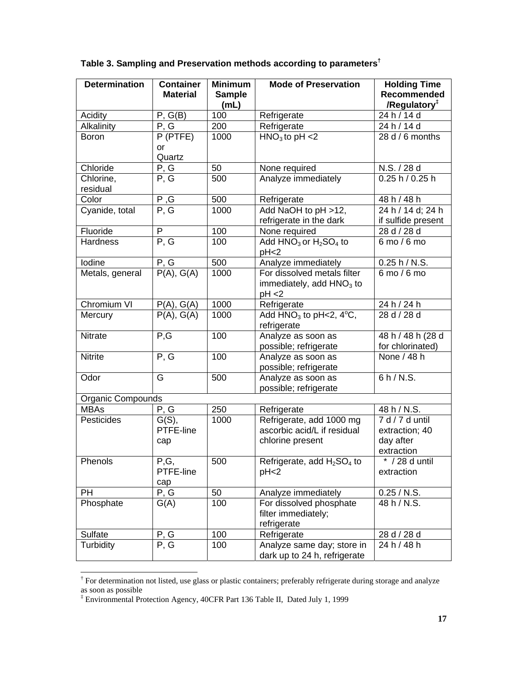| <b>Determination</b>        | <b>Container</b> | <b>Minimum</b> | <b>Mode of Preservation</b>                        | <b>Holding Time</b>      |
|-----------------------------|------------------|----------------|----------------------------------------------------|--------------------------|
|                             | <b>Material</b>  | <b>Sample</b>  |                                                    | <b>Recommended</b>       |
|                             |                  | (mL)           |                                                    | /Regulatory <sup>#</sup> |
| Acidity                     | P, G(B)          | 100            | Refrigerate                                        | 24 h / 14 d              |
| Alkalinity                  | P, G             | 200            | Refrigerate                                        | 24 h / 14 d              |
| <b>Boron</b>                | P (PTFE)         | 1000           | $HNO3$ to pH <2                                    | 28 d / 6 months          |
|                             | <b>or</b>        |                |                                                    |                          |
|                             | Quartz           |                |                                                    |                          |
| Chloride                    | P, G             | 50             | None required                                      | N.S. / 28 d              |
| Chlorine,                   | P, G             | 500            | Analyze immediately                                | 0.25 h / 0.25 h          |
| residual                    |                  |                |                                                    |                          |
| Color                       | P, G             | 500            | Refrigerate                                        | 48 h / 48 h              |
| Cyanide, total              | P, G             | 1000           | Add NaOH to pH >12,                                | 24 h / 14 d; 24 h        |
|                             |                  |                | refrigerate in the dark                            | if sulfide present       |
| Fluoride<br><b>Hardness</b> | P                | 100            | None required                                      | 28 d / 28 d              |
|                             | P, G             | 100            | Add $HNO3$ or $H2SO4$ to                           | 6 mo / 6 mo              |
| Iodine                      |                  | 500            | pH <sub>2</sub>                                    | 0.25 h/N.S.              |
|                             | P, G             | 1000           | Analyze immediately<br>For dissolved metals filter | 6 mo / 6 mo              |
| Metals, general             | P(A), G(A)       |                | immediately, add $HNO3$ to                         |                          |
|                             |                  |                | pH < 2                                             |                          |
| Chromium VI                 | P(A), G(A)       | 1000           | Refrigerate                                        | 24 h / 24 h              |
| Mercury                     | P(A), G(A)       | 1000           | Add $HNO3$ to pH<2, $4^{\circ}C$ ,                 | 28 d / 28 d              |
|                             |                  |                | refrigerate                                        |                          |
| Nitrate                     | P, G             | 100            | Analyze as soon as                                 | 48 h / 48 h (28 d        |
|                             |                  |                | possible; refrigerate                              | for chlorinated)         |
| <b>Nitrite</b>              | P, G             | 100            | Analyze as soon as                                 | None $\sqrt{48}$ h       |
|                             |                  |                | possible; refrigerate                              |                          |
| Odor                        | G                | 500            | Analyze as soon as                                 | 6 h/N.S.                 |
|                             |                  |                | possible; refrigerate                              |                          |
| Organic Compounds           |                  |                |                                                    |                          |
| <b>MBAs</b>                 | P, G             | 250            | Refrigerate                                        | 48 h / N.S.              |
| Pesticides                  | G(S),            | 1000           | Refrigerate, add 1000 mg                           | 7 d / 7 d until          |
|                             | PTFE-line        |                | ascorbic acid/L if residual                        | extraction; 40           |
|                             | cap              |                | chlorine present                                   | day after                |
|                             |                  |                |                                                    | extraction               |
| Phenols                     | P,G,             | 500            | Refrigerate, add H <sub>2</sub> SO <sub>4</sub> to | * / 28 d until           |
|                             | PTFE-line        |                | pH <sub>2</sub>                                    | extraction               |
|                             | cap              |                |                                                    |                          |
| PH                          | P, G             | 50             | Analyze immediately                                | 0.25 / N.S.              |
| Phosphate                   | G(A)             | 100            | For dissolved phosphate                            | 48 h / N.S.              |
|                             |                  |                | filter immediately;<br>refrigerate                 |                          |
| Sulfate                     | P, G             | 100            | Refrigerate                                        | 28 d / 28 d              |
| Turbidity                   | P, G             | 100            | Analyze same day; store in                         | 24 h / 48 h              |
|                             |                  |                | dark up to 24 h, refrigerate                       |                          |
|                             |                  |                |                                                    |                          |

# **Table 3. Sampling and Preservation methods according to parameters†**

 $\overline{a}$ 

<sup>&</sup>lt;sup>†</sup> For determination not listed, use glass or plastic containers; preferably refrigerate during storage and analyze as soon as possible<br>‡Environmental Protection Agency, 40CFR Part 136 Table II, Dated July 1, 1999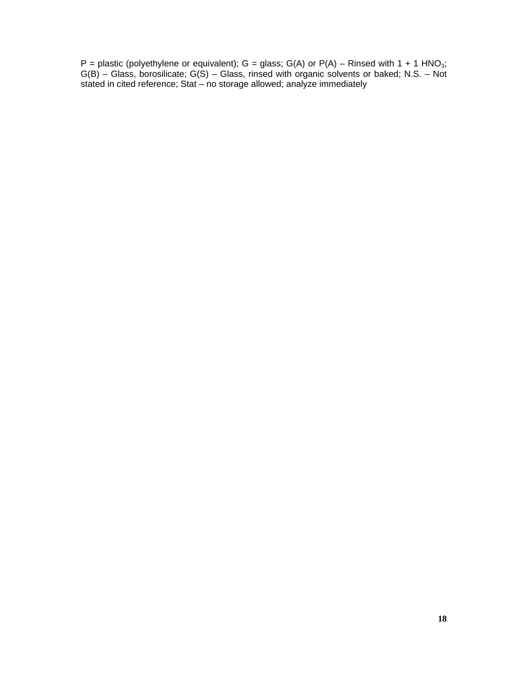P = plastic (polyethylene or equivalent);  $G =$  glass;  $G(A)$  or  $P(A)$  – Rinsed with 1 + 1 HNO<sub>3</sub>; G(B) – Glass, borosilicate; G(S) – Glass, rinsed with organic solvents or baked; N.S. – Not stated in cited reference; Stat – no storage allowed; analyze immediately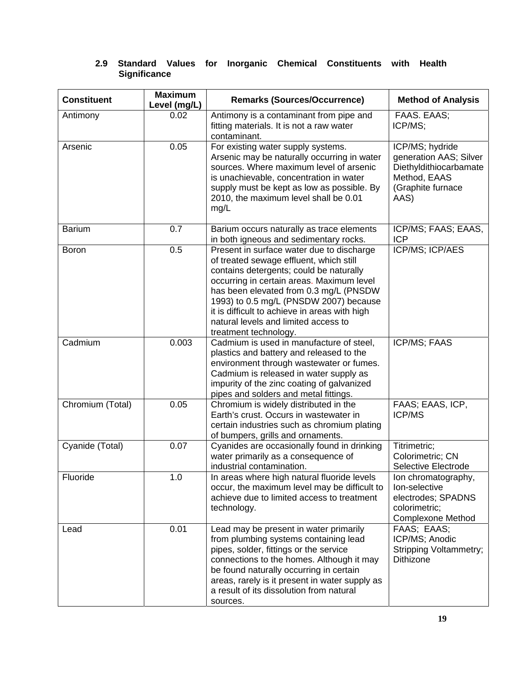| <b>Constituent</b> | <b>Maximum</b><br>Level (mg/L) | <b>Remarks (Sources/Occurrence)</b>                                                                                                                                                                                                                                                                                                                                                | <b>Method of Analysis</b>                                                                                        |
|--------------------|--------------------------------|------------------------------------------------------------------------------------------------------------------------------------------------------------------------------------------------------------------------------------------------------------------------------------------------------------------------------------------------------------------------------------|------------------------------------------------------------------------------------------------------------------|
| Antimony           | 0.02                           | Antimony is a contaminant from pipe and<br>fitting materials. It is not a raw water<br>contaminant.                                                                                                                                                                                                                                                                                | FAAS. EAAS;<br>ICP/MS;                                                                                           |
| Arsenic            | 0.05                           | For existing water supply systems.<br>Arsenic may be naturally occurring in water<br>sources. Where maximum level of arsenic<br>is unachievable, concentration in water<br>supply must be kept as low as possible. By<br>2010, the maximum level shall be 0.01<br>mg/L                                                                                                             | ICP/MS; hydride<br>generation AAS; Silver<br>Diethyldithiocarbamate<br>Method, EAAS<br>(Graphite furnace<br>AAS) |
| <b>Barium</b>      | 0.7                            | Barium occurs naturally as trace elements<br>in both igneous and sedimentary rocks.                                                                                                                                                                                                                                                                                                | ICP/MS; FAAS; EAAS,<br><b>ICP</b>                                                                                |
| <b>Boron</b>       | 0.5                            | Present in surface water due to discharge<br>of treated sewage effluent, which still<br>contains detergents; could be naturally<br>occurring in certain areas. Maximum level<br>has been elevated from 0.3 mg/L (PNSDW<br>1993) to 0.5 mg/L (PNSDW 2007) because<br>it is difficult to achieve in areas with high<br>natural levels and limited access to<br>treatment technology. | ICP/MS; ICP/AES                                                                                                  |
| Cadmium            | 0.003                          | Cadmium is used in manufacture of steel.<br>plastics and battery and released to the<br>environment through wastewater or fumes.<br>Cadmium is released in water supply as<br>impurity of the zinc coating of galvanized<br>pipes and solders and metal fittings.                                                                                                                  | ICP/MS; FAAS                                                                                                     |
| Chromium (Total)   | 0.05                           | Chromium is widely distributed in the<br>Earth's crust. Occurs in wastewater in<br>certain industries such as chromium plating<br>of bumpers, grills and ornaments.                                                                                                                                                                                                                | FAAS; EAAS, ICP,<br><b>ICP/MS</b>                                                                                |
| Cyanide (Total)    | 0.07                           | Cyanides are occasionally found in drinking<br>water primarily as a consequence of<br>industrial contamination.                                                                                                                                                                                                                                                                    | Titrimetric;<br>Colorimetric; CN<br>Selective Electrode                                                          |
| Fluoride           | 1.0                            | In areas where high natural fluoride levels<br>occur, the maximum level may be difficult to<br>achieve due to limited access to treatment<br>technology.                                                                                                                                                                                                                           | Ion chromatography,<br>Ion-selective<br>electrodes; SPADNS<br>colorimetric;<br><b>Complexone Method</b>          |
| Lead               | 0.01                           | Lead may be present in water primarily<br>from plumbing systems containing lead<br>pipes, solder, fittings or the service<br>connections to the homes. Although it may<br>be found naturally occurring in certain<br>areas, rarely is it present in water supply as<br>a result of its dissolution from natural<br>sources.                                                        | FAAS; EAAS;<br>ICP/MS; Anodic<br><b>Stripping Voltammetry;</b><br><b>Dithizone</b>                               |

# **2.9 Standard Values for Inorganic Chemical Constituents with Health Significance**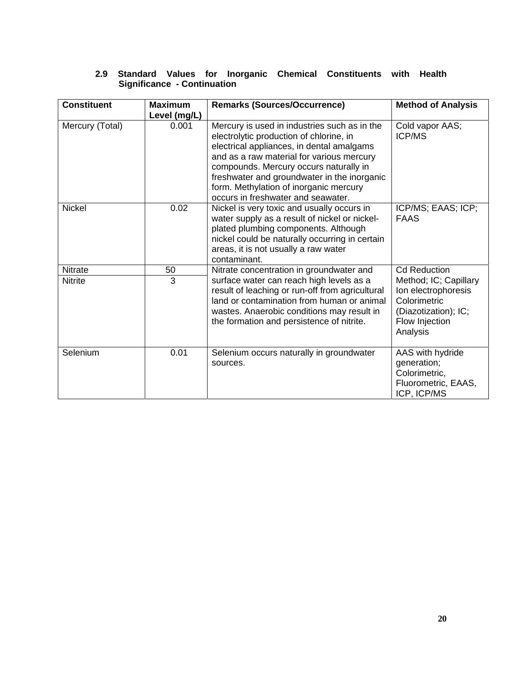# **2.9 Standard Values for Inorganic Chemical Constituents with Health Significance - Continuation**

| <b>Constituent</b>               | <b>Maximum</b><br>Level (mg/L) | <b>Remarks (Sources/Occurrence)</b>                                                                                                                                                                                                                                                                                                                        | <b>Method of Analysis</b>                                                                                                                 |
|----------------------------------|--------------------------------|------------------------------------------------------------------------------------------------------------------------------------------------------------------------------------------------------------------------------------------------------------------------------------------------------------------------------------------------------------|-------------------------------------------------------------------------------------------------------------------------------------------|
| Mercury (Total)                  | 0.001                          | Mercury is used in industries such as in the<br>electrolytic production of chlorine, in<br>electrical appliances, in dental amalgams<br>and as a raw material for various mercury<br>compounds. Mercury occurs naturally in<br>freshwater and groundwater in the inorganic<br>form. Methylation of inorganic mercury<br>occurs in freshwater and seawater. | Cold vapor AAS;<br><b>ICP/MS</b>                                                                                                          |
| <b>Nickel</b>                    | 0.02                           | Nickel is very toxic and usually occurs in<br>water supply as a result of nickel or nickel-<br>plated plumbing components. Although<br>nickel could be naturally occurring in certain<br>areas, it is not usually a raw water<br>contaminant.                                                                                                              | ICP/MS; EAAS; ICP;<br><b>FAAS</b>                                                                                                         |
| <b>Nitrate</b><br><b>Nitrite</b> | 50<br>3                        | Nitrate concentration in groundwater and<br>surface water can reach high levels as a<br>result of leaching or run-off from agricultural<br>land or contamination from human or animal<br>wastes. Anaerobic conditions may result in<br>the formation and persistence of nitrite.                                                                           | <b>Cd Reduction</b><br>Method; IC; Capillary<br>Ion electrophoresis<br>Colorimetric<br>(Diazotization); IC;<br>Flow Injection<br>Analysis |
| Selenium                         | 0.01                           | Selenium occurs naturally in groundwater<br>sources.                                                                                                                                                                                                                                                                                                       | AAS with hydride<br>generation;<br>Colorimetric,<br>Fluorometric, EAAS,<br>ICP, ICP/MS                                                    |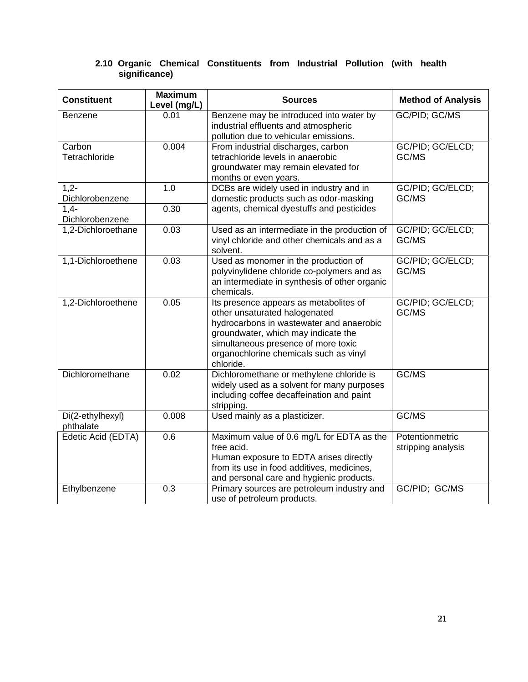| <b>Constituent</b>                    | <b>Maximum</b><br>Level (mg/L) | <b>Sources</b>                                                                                                                                                                                                                                           | <b>Method of Analysis</b>             |
|---------------------------------------|--------------------------------|----------------------------------------------------------------------------------------------------------------------------------------------------------------------------------------------------------------------------------------------------------|---------------------------------------|
| <b>Benzene</b>                        | 0.01                           | Benzene may be introduced into water by<br>industrial effluents and atmospheric<br>pollution due to vehicular emissions.                                                                                                                                 | GC/PID; GC/MS                         |
| Carbon<br>Tetrachloride               | 0.004                          | From industrial discharges, carbon<br>tetrachloride levels in anaerobic<br>groundwater may remain elevated for<br>months or even years.                                                                                                                  | GC/PID; GC/ELCD;<br>GC/MS             |
| $1,2-$<br>Dichlorobenzene<br>$1,4-$   | 1.0<br>0.30                    | DCBs are widely used in industry and in<br>domestic products such as odor-masking<br>agents, chemical dyestuffs and pesticides                                                                                                                           | GC/PID; GC/ELCD;<br>GC/MS             |
| Dichlorobenzene<br>1,2-Dichloroethane | 0.03                           | Used as an intermediate in the production of<br>vinyl chloride and other chemicals and as a<br>solvent.                                                                                                                                                  | GC/PID; GC/ELCD;<br>GC/MS             |
| 1,1-Dichloroethene                    | 0.03                           | Used as monomer in the production of<br>polyvinylidene chloride co-polymers and as<br>an intermediate in synthesis of other organic<br>chemicals.                                                                                                        | GC/PID; GC/ELCD;<br>GC/MS             |
| 1,2-Dichloroethene                    | 0.05                           | Its presence appears as metabolites of<br>other unsaturated halogenated<br>hydrocarbons in wastewater and anaerobic<br>groundwater, which may indicate the<br>simultaneous presence of more toxic<br>organochlorine chemicals such as vinyl<br>chloride. | GC/PID; GC/ELCD;<br>GC/MS             |
| Dichloromethane                       | 0.02                           | Dichloromethane or methylene chloride is<br>widely used as a solvent for many purposes<br>including coffee decaffeination and paint<br>stripping.                                                                                                        | GC/MS                                 |
| Di(2-ethylhexyl)<br>phthalate         | 0.008                          | Used mainly as a plasticizer.                                                                                                                                                                                                                            | GC/MS                                 |
| Edetic Acid (EDTA)                    | 0.6                            | Maximum value of 0.6 mg/L for EDTA as the<br>free acid.<br>Human exposure to EDTA arises directly<br>from its use in food additives, medicines,<br>and personal care and hygienic products.                                                              | Potentionmetric<br>stripping analysis |
| Ethylbenzene                          | 0.3                            | Primary sources are petroleum industry and<br>use of petroleum products.                                                                                                                                                                                 | GC/PID; GC/MS                         |

# **2.10 Organic Chemical Constituents from Industrial Pollution (with health significance)**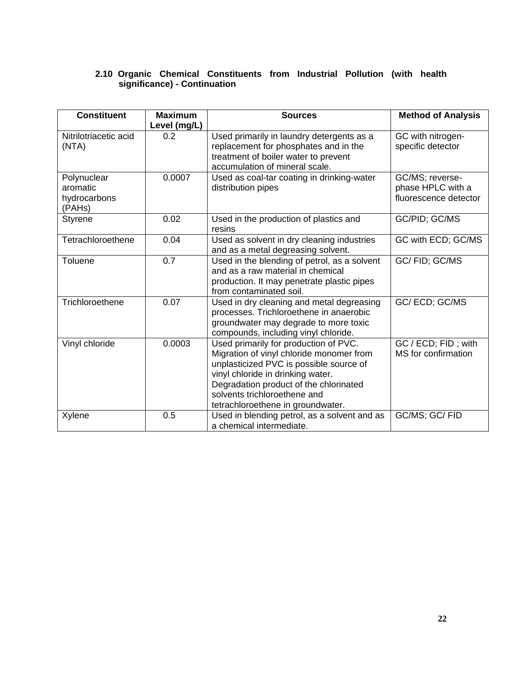# **2.10 Organic Chemical Constituents from Industrial Pollution (with health significance) - Continuation**

| <b>Constituent</b>                                | <b>Maximum</b><br>Level (mg/L) | <b>Sources</b>                                                                                                                                                                                                                                                                   | <b>Method of Analysis</b>                                     |
|---------------------------------------------------|--------------------------------|----------------------------------------------------------------------------------------------------------------------------------------------------------------------------------------------------------------------------------------------------------------------------------|---------------------------------------------------------------|
| Nitrilotriacetic acid<br>(NTA)                    | 0.2                            | Used primarily in laundry detergents as a<br>replacement for phosphates and in the<br>treatment of boiler water to prevent<br>accumulation of mineral scale.                                                                                                                     | GC with nitrogen-<br>specific detector                        |
| Polynuclear<br>aromatic<br>hydrocarbons<br>(PAHs) | 0.0007                         | Used as coal-tar coating in drinking-water<br>distribution pipes                                                                                                                                                                                                                 | GC/MS; reverse-<br>phase HPLC with a<br>fluorescence detector |
| <b>Styrene</b>                                    | 0.02                           | Used in the production of plastics and<br>resins                                                                                                                                                                                                                                 | GC/PID; GC/MS                                                 |
| Tetrachloroethene                                 | 0.04                           | Used as solvent in dry cleaning industries<br>and as a metal degreasing solvent.                                                                                                                                                                                                 | GC with ECD; GC/MS                                            |
| Toluene                                           | 0.7                            | Used in the blending of petrol, as a solvent<br>and as a raw material in chemical<br>production. It may penetrate plastic pipes<br>from contaminated soil.                                                                                                                       | GC/FID; GC/MS                                                 |
| Trichloroethene                                   | 0.07                           | Used in dry cleaning and metal degreasing<br>processes. Trichloroethene in anaerobic<br>groundwater may degrade to more toxic<br>compounds, including vinyl chloride.                                                                                                            | GC/ECD; GC/MS                                                 |
| Vinyl chloride                                    | 0.0003                         | Used primarily for production of PVC.<br>Migration of vinyl chloride monomer from<br>unplasticized PVC is possible source of<br>vinyl chloride in drinking water.<br>Degradation product of the chlorinated<br>solvents trichloroethene and<br>tetrachloroethene in groundwater. | GC / ECD; FID; with<br>MS for confirmation                    |
| Xylene                                            | 0.5                            | Used in blending petrol, as a solvent and as<br>a chemical intermediate.                                                                                                                                                                                                         | GC/MS; GC/ FID                                                |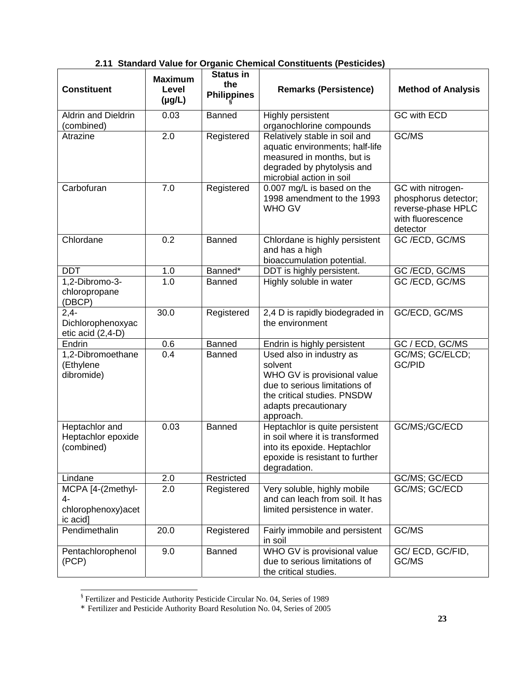| 2.11 Standard Value for Organic Chemical Constituents (Pesticides) |  |
|--------------------------------------------------------------------|--|
|--------------------------------------------------------------------|--|

| <b>Constituent</b>                                         | <b>Maximum</b><br>Level<br>$(\mu g/L)$ | <b>Status in</b><br>the<br><b>Philippines</b> | <b>Remarks (Persistence)</b>                                                                                                                                            | <b>Method of Analysis</b>                                                                        |
|------------------------------------------------------------|----------------------------------------|-----------------------------------------------|-------------------------------------------------------------------------------------------------------------------------------------------------------------------------|--------------------------------------------------------------------------------------------------|
| <b>Aldrin and Dieldrin</b><br>(combined)                   | 0.03                                   | <b>Banned</b>                                 | Highly persistent<br>organochlorine compounds                                                                                                                           | GC with ECD                                                                                      |
| Atrazine                                                   | 2.0                                    | Registered                                    | Relatively stable in soil and<br>aquatic environments; half-life<br>measured in months, but is<br>degraded by phytolysis and<br>microbial action in soil                | GC/MS                                                                                            |
| Carbofuran                                                 | 7.0                                    | Registered                                    | 0.007 mg/L is based on the<br>1998 amendment to the 1993<br><b>WHO GV</b>                                                                                               | GC with nitrogen-<br>phosphorus detector;<br>reverse-phase HPLC<br>with fluorescence<br>detector |
| Chlordane                                                  | 0.2                                    | <b>Banned</b>                                 | Chlordane is highly persistent<br>and has a high<br>bioaccumulation potential.                                                                                          | GC/ECD, GC/MS                                                                                    |
| <b>DDT</b>                                                 | 1.0                                    | Banned*                                       | DDT is highly persistent.                                                                                                                                               | GC/ECD, GC/MS                                                                                    |
| 1,2-Dibromo-3-<br>chloropropane<br>(DBCP)                  | 1.0                                    | <b>Banned</b>                                 | Highly soluble in water                                                                                                                                                 | GC/ECD, GC/MS                                                                                    |
| $2,4-$<br>Dichlorophenoxyac<br>etic acid (2,4-D)           | 30.0                                   | Registered                                    | 2,4 D is rapidly biodegraded in<br>the environment                                                                                                                      | GC/ECD, GC/MS                                                                                    |
| Endrin                                                     | 0.6                                    | <b>Banned</b>                                 | Endrin is highly persistent                                                                                                                                             | GC / ECD, GC/MS                                                                                  |
| 1,2-Dibromoethane<br>(Ethylene<br>dibromide)               | 0.4                                    | Banned                                        | Used also in industry as<br>solvent<br>WHO GV is provisional value<br>due to serious limitations of<br>the critical studies. PNSDW<br>adapts precautionary<br>approach. | GC/MS; GC/ELCD;<br>GC/PID                                                                        |
| Heptachlor and<br>Heptachlor epoxide<br>(combined)         | 0.03                                   | <b>Banned</b>                                 | Heptachlor is quite persistent<br>in soil where it is transformed<br>into its epoxide. Heptachlor<br>epoxide is resistant to further<br>degradation.                    | GC/MS;/GC/ECD                                                                                    |
| Lindane                                                    | 2.0                                    | Restricted                                    |                                                                                                                                                                         | GC/MS; GC/ECD                                                                                    |
| MCPA [4-(2methyl-<br>4-<br>chlorophenoxy) acet<br>ic acid] | 2.0                                    | Registered                                    | Very soluble, highly mobile<br>and can leach from soil. It has<br>limited persistence in water.                                                                         | GC/MS; GC/ECD                                                                                    |
| Pendimethalin                                              | 20.0                                   | Registered                                    | Fairly immobile and persistent<br>in soil                                                                                                                               | GC/MS                                                                                            |
| Pentachlorophenol<br>(PCP)                                 | 9.0                                    | <b>Banned</b>                                 | WHO GV is provisional value<br>due to serious limitations of<br>the critical studies.                                                                                   | GC/ECD, GC/FID,<br>GC/MS                                                                         |

 § Fertilizer and Pesticide Authority Pesticide Circular No. 04, Series of 1989

<sup>\*</sup> Fertilizer and Pesticide Authority Board Resolution No. 04, Series of 2005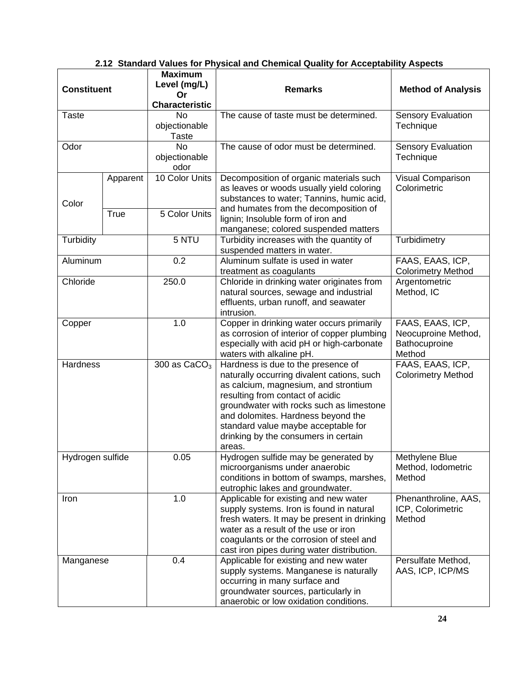| 2.12 Standard Values for Physical and Chemical Quality for Acceptability Aspects |
|----------------------------------------------------------------------------------|
|----------------------------------------------------------------------------------|

|                    |          | <b>Maximum</b>                     |                                                                                 |                             |
|--------------------|----------|------------------------------------|---------------------------------------------------------------------------------|-----------------------------|
| <b>Constituent</b> |          | Level (mg/L)                       | <b>Remarks</b>                                                                  | <b>Method of Analysis</b>   |
|                    |          | Or                                 |                                                                                 |                             |
| <b>Taste</b>       |          | <b>Characteristic</b><br><b>No</b> | The cause of taste must be determined.                                          | <b>Sensory Evaluation</b>   |
|                    |          | objectionable                      |                                                                                 | Technique                   |
|                    |          | <b>Taste</b>                       |                                                                                 |                             |
| Odor               |          | <b>No</b>                          | The cause of odor must be determined.                                           | <b>Sensory Evaluation</b>   |
|                    |          | objectionable                      |                                                                                 | Technique                   |
|                    |          | odor                               |                                                                                 |                             |
|                    | Apparent | 10 Color Units                     | Decomposition of organic materials such                                         | Visual Comparison           |
|                    |          |                                    | as leaves or woods usually yield coloring                                       | Colorimetric                |
| Color              |          |                                    | substances to water; Tannins, humic acid,                                       |                             |
|                    | True     | 5 Color Units                      | and humates from the decomposition of                                           |                             |
|                    |          |                                    | lignin; Insoluble form of iron and                                              |                             |
|                    |          |                                    | manganese; colored suspended matters                                            |                             |
| Turbidity          |          | 5 NTU                              | Turbidity increases with the quantity of                                        | Turbidimetry                |
|                    |          |                                    | suspended matters in water.                                                     |                             |
| Aluminum           |          | 0.2                                | Aluminum sulfate is used in water                                               | FAAS, EAAS, ICP,            |
|                    |          |                                    | treatment as coagulants                                                         | <b>Colorimetry Method</b>   |
| Chloride           |          | 250.0                              | Chloride in drinking water originates from                                      | Argentometric<br>Method, IC |
|                    |          |                                    | natural sources, sewage and industrial<br>effluents, urban runoff, and seawater |                             |
|                    |          |                                    | intrusion.                                                                      |                             |
| Copper             |          | 1.0                                | Copper in drinking water occurs primarily                                       | FAAS, EAAS, ICP,            |
|                    |          |                                    | as corrosion of interior of copper plumbing                                     | Neocuproine Method,         |
|                    |          |                                    | especially with acid pH or high-carbonate                                       | Bathocuproine               |
|                    |          |                                    | waters with alkaline pH.                                                        | Method                      |
| Hardness           |          | 300 as $CaCO3$                     | Hardness is due to the presence of                                              | FAAS, EAAS, ICP,            |
|                    |          |                                    | naturally occurring divalent cations, such                                      | <b>Colorimetry Method</b>   |
|                    |          |                                    | as calcium, magnesium, and strontium                                            |                             |
|                    |          |                                    | resulting from contact of acidic                                                |                             |
|                    |          |                                    | groundwater with rocks such as limestone                                        |                             |
|                    |          |                                    | and dolomites. Hardness beyond the                                              |                             |
|                    |          |                                    | standard value maybe acceptable for                                             |                             |
|                    |          |                                    | drinking by the consumers in certain                                            |                             |
| Hydrogen sulfide   |          | 0.05                               | areas.<br>Hydrogen sulfide may be generated by                                  | Methylene Blue              |
|                    |          |                                    | microorganisms under anaerobic                                                  | Method, Iodometric          |
|                    |          |                                    | conditions in bottom of swamps, marshes,                                        | Method                      |
|                    |          |                                    | eutrophic lakes and groundwater.                                                |                             |
| Iron               |          | 1.0                                | Applicable for existing and new water                                           | Phenanthroline, AAS,        |
|                    |          |                                    | supply systems. Iron is found in natural                                        | ICP, Colorimetric           |
|                    |          |                                    | fresh waters. It may be present in drinking                                     | Method                      |
|                    |          |                                    | water as a result of the use or iron                                            |                             |
|                    |          |                                    | coagulants or the corrosion of steel and                                        |                             |
|                    |          |                                    | cast iron pipes during water distribution.                                      |                             |
| Manganese          |          | 0.4                                | Applicable for existing and new water                                           | Persulfate Method,          |
|                    |          |                                    | supply systems. Manganese is naturally                                          | AAS, ICP, ICP/MS            |
|                    |          |                                    | occurring in many surface and                                                   |                             |
|                    |          |                                    | groundwater sources, particularly in                                            |                             |
|                    |          |                                    | anaerobic or low oxidation conditions.                                          |                             |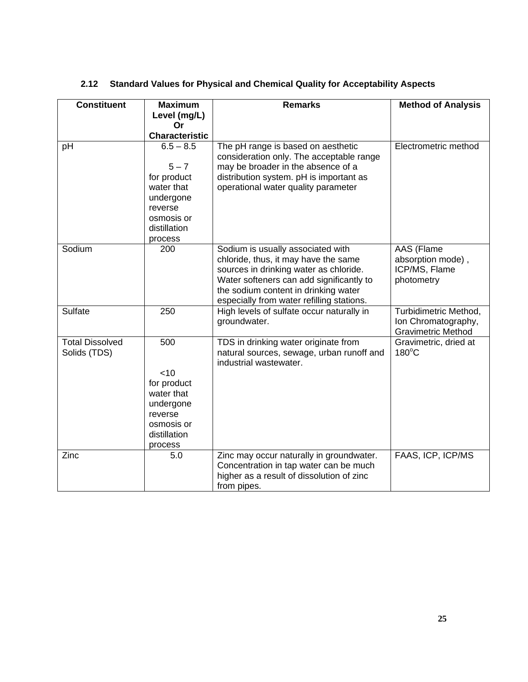| <b>Constituent</b>     | <b>Maximum</b>             | <b>Remarks</b>                            | <b>Method of Analysis</b> |
|------------------------|----------------------------|-------------------------------------------|---------------------------|
|                        | Level (mg/L)               |                                           |                           |
|                        | Or                         |                                           |                           |
|                        | <b>Characteristic</b>      |                                           |                           |
| pH                     | $6.5 - 8.5$                | The pH range is based on aesthetic        | Electrometric method      |
|                        |                            | consideration only. The acceptable range  |                           |
|                        | $5 - 7$                    | may be broader in the absence of a        |                           |
|                        | for product                | distribution system. pH is important as   |                           |
|                        | water that                 | operational water quality parameter       |                           |
|                        | undergone                  |                                           |                           |
|                        | reverse                    |                                           |                           |
|                        | osmosis or<br>distillation |                                           |                           |
|                        | process                    |                                           |                           |
| Sodium                 | 200                        | Sodium is usually associated with         | AAS (Flame                |
|                        |                            | chloride, thus, it may have the same      | absorption mode),         |
|                        |                            | sources in drinking water as chloride.    | ICP/MS, Flame             |
|                        |                            | Water softeners can add significantly to  | photometry                |
|                        |                            | the sodium content in drinking water      |                           |
|                        |                            | especially from water refilling stations. |                           |
| <b>Sulfate</b>         | 250                        | High levels of sulfate occur naturally in | Turbidimetric Method,     |
|                        |                            | groundwater.                              | Ion Chromatography,       |
|                        |                            |                                           | <b>Gravimetric Method</b> |
| <b>Total Dissolved</b> | 500                        | TDS in drinking water originate from      | Gravimetric, dried at     |
| Solids (TDS)           |                            | natural sources, sewage, urban runoff and | $180^{\circ}$ C           |
|                        |                            | industrial wastewater.                    |                           |
|                        | <10<br>for product         |                                           |                           |
|                        | water that                 |                                           |                           |
|                        | undergone                  |                                           |                           |
|                        | reverse                    |                                           |                           |
|                        | osmosis or                 |                                           |                           |
|                        | distillation               |                                           |                           |
|                        | process                    |                                           |                           |
| Zinc                   | 5.0                        | Zinc may occur naturally in groundwater.  | FAAS, ICP, ICP/MS         |
|                        |                            | Concentration in tap water can be much    |                           |
|                        |                            | higher as a result of dissolution of zinc |                           |
|                        |                            | from pipes.                               |                           |

# **2.12 Standard Values for Physical and Chemical Quality for Acceptability Aspects**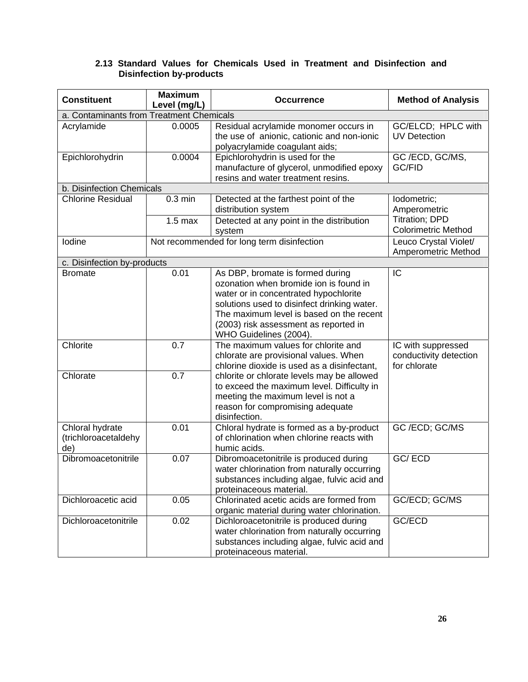# **2.13 Standard Values for Chemicals Used in Treatment and Disinfection and Disinfection by-products**

| <b>Maximum</b><br><b>Constituent</b><br>Level (mg/L) |                                          | <b>Occurrence</b>                                                                                                                                                                                                                                                                 | <b>Method of Analysis</b>                                    |  |
|------------------------------------------------------|------------------------------------------|-----------------------------------------------------------------------------------------------------------------------------------------------------------------------------------------------------------------------------------------------------------------------------------|--------------------------------------------------------------|--|
|                                                      | a. Contaminants from Treatment Chemicals |                                                                                                                                                                                                                                                                                   |                                                              |  |
| Acrylamide                                           | 0.0005                                   | Residual acrylamide monomer occurs in<br>the use of anionic, cationic and non-ionic<br>polyacrylamide coagulant aids;                                                                                                                                                             | GC/ELCD; HPLC with<br><b>UV Detection</b>                    |  |
| 0.0004<br>Epichlorohydrin                            |                                          | Epichlorohydrin is used for the<br>manufacture of glycerol, unmodified epoxy<br>resins and water treatment resins.                                                                                                                                                                | GC/ECD, GC/MS,<br><b>GC/FID</b>                              |  |
| b. Disinfection Chemicals                            |                                          |                                                                                                                                                                                                                                                                                   |                                                              |  |
| <b>Chlorine Residual</b>                             | $0.3$ min                                | Detected at the farthest point of the<br>distribution system                                                                                                                                                                                                                      | lodometric;<br>Amperometric<br><b>Titration; DPD</b>         |  |
|                                                      | $1.5$ max                                | Detected at any point in the distribution<br>system                                                                                                                                                                                                                               | <b>Colorimetric Method</b>                                   |  |
| Iodine                                               |                                          | Not recommended for long term disinfection                                                                                                                                                                                                                                        | Leuco Crystal Violet/<br>Amperometric Method                 |  |
| c. Disinfection by-products                          |                                          |                                                                                                                                                                                                                                                                                   |                                                              |  |
| <b>Bromate</b>                                       | 0.01                                     | As DBP, bromate is formed during<br>ozonation when bromide ion is found in<br>water or in concentrated hypochlorite<br>solutions used to disinfect drinking water.<br>The maximum level is based on the recent<br>(2003) risk assessment as reported in<br>WHO Guidelines (2004). | IC                                                           |  |
| Chlorite                                             | 0.7                                      | The maximum values for chlorite and<br>chlorate are provisional values. When<br>chlorine dioxide is used as a disinfectant,                                                                                                                                                       | IC with suppressed<br>conductivity detection<br>for chlorate |  |
| Chlorate                                             | 0.7                                      | chlorite or chlorate levels may be allowed<br>to exceed the maximum level. Difficulty in<br>meeting the maximum level is not a<br>reason for compromising adequate<br>disinfection.                                                                                               |                                                              |  |
| Chloral hydrate<br>(trichloroacetaldehy<br>de)       | 0.01                                     | Chloral hydrate is formed as a by-product<br>of chlorination when chlorine reacts with<br>humic acids.                                                                                                                                                                            | GC /ECD; GC/MS                                               |  |
| Dibromoacetonitrile                                  | 0.07                                     | Dibromoacetonitrile is produced during<br>water chlorination from naturally occurring<br>substances including algae, fulvic acid and<br>proteinaceous material.                                                                                                                   | GC/ECD                                                       |  |
| Dichloroacetic acid<br>0.05                          |                                          | Chlorinated acetic acids are formed from<br>organic material during water chlorination.                                                                                                                                                                                           | GC/ECD; GC/MS                                                |  |
| Dichloroacetonitrile                                 | 0.02                                     | Dichloroacetonitrile is produced during<br>water chlorination from naturally occurring<br>substances including algae, fulvic acid and<br>proteinaceous material.                                                                                                                  | GC/ECD                                                       |  |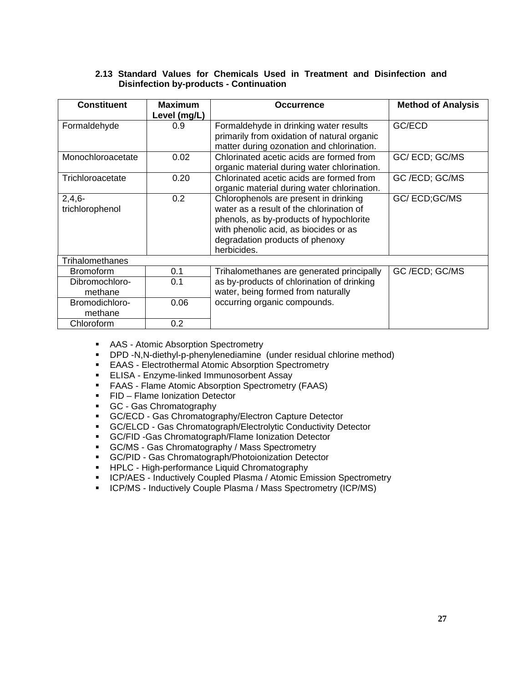# **2.13 Standard Values for Chemicals Used in Treatment and Disinfection and Disinfection by-products - Continuation**

| <b>Constituent</b>                | <b>Maximum</b>      | <b>Occurrence</b>                                                                                                                                                                                                       | <b>Method of Analysis</b> |
|-----------------------------------|---------------------|-------------------------------------------------------------------------------------------------------------------------------------------------------------------------------------------------------------------------|---------------------------|
| Formaldehyde                      | Level (mg/L)<br>0.9 | Formaldehyde in drinking water results<br>primarily from oxidation of natural organic<br>matter during ozonation and chlorination.                                                                                      | GC/ECD                    |
| Monochloroacetate                 | 0.02                | Chlorinated acetic acids are formed from<br>organic material during water chlorination.                                                                                                                                 | GC/ECD; GC/MS             |
| Trichloroacetate                  | 0.20                | Chlorinated acetic acids are formed from<br>organic material during water chlorination.                                                                                                                                 | GC/ECD; GC/MS             |
| $2,4,6-$<br>trichlorophenol       | 0.2                 | Chlorophenols are present in drinking<br>water as a result of the chlorination of<br>phenols, as by-products of hypochlorite<br>with phenolic acid, as biocides or as<br>degradation products of phenoxy<br>herbicides. | GC/ECD;GC/MS              |
| <b>Trihalomethanes</b>            |                     |                                                                                                                                                                                                                         |                           |
| <b>Bromoform</b>                  | 0.1                 | Trihalomethanes are generated principally                                                                                                                                                                               | GC/ECD; GC/MS             |
| Dibromochloro-<br>methane         | 0.1                 | as by-products of chlorination of drinking<br>water, being formed from naturally                                                                                                                                        |                           |
| Bromodichloro-<br>0.06<br>methane |                     | occurring organic compounds.                                                                                                                                                                                            |                           |
| Chloroform                        | 0.2                 |                                                                                                                                                                                                                         |                           |

- **AAS** Atomic Absorption Spectrometry
- DPD -N,N-diethyl-p-phenylenediamine (under residual chlorine method)
- **EAAS** Electrothermal Atomic Absorption Spectrometry
- **ELISA Enzyme-linked Immunosorbent Assay**
- FAAS Flame Atomic Absorption Spectrometry (FAAS)
- **FID Flame Ionization Detector**
- GC Gas Chromatography
- **GC/ECD Gas Chromatography/Electron Capture Detector**
- GC/ELCD Gas Chromatograph/Electrolytic Conductivity Detector
- **GC/FID Gas Chromatograph/Flame Ionization Detector**
- GC/MS Gas Chromatography / Mass Spectrometry
- GC/PID Gas Chromatograph/Photoionization Detector
- **HPLC High-performance Liquid Chromatography**
- **ICP/AES Inductively Coupled Plasma / Atomic Emission Spectrometry**
- **ICP/MS Inductively Couple Plasma / Mass Spectrometry (ICP/MS)**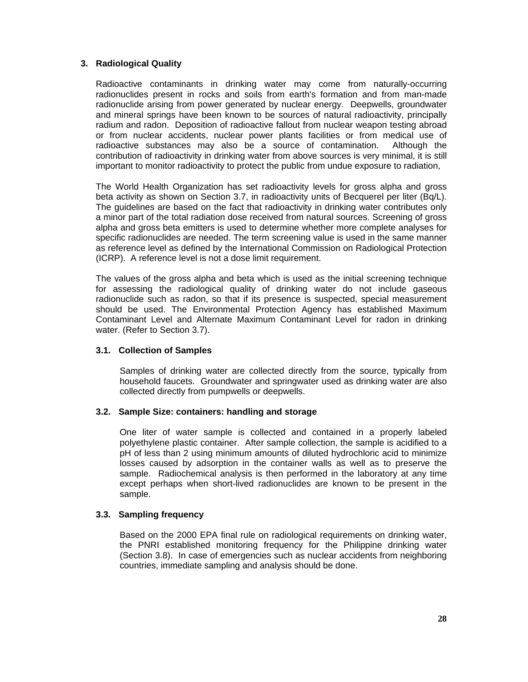## **3. Radiological Quality**

Radioactive contaminants in drinking water may come from naturally-occurring radionuclides present in rocks and soils from earth's formation and from man-made radionuclide arising from power generated by nuclear energy. Deepwells, groundwater and mineral springs have been known to be sources of natural radioactivity, principally radium and radon. Deposition of radioactive fallout from nuclear weapon testing abroad or from nuclear accidents, nuclear power plants facilities or from medical use of radioactive substances may also be a source of contamination. Although the contribution of radioactivity in drinking water from above sources is very minimal, it is still important to monitor radioactivity to protect the public from undue exposure to radiation,

The World Health Organization has set radioactivity levels for gross alpha and gross beta activity as shown on Section 3.7, in radioactivity units of Becquerel per liter (Bq/L). The guidelines are based on the fact that radioactivity in drinking water contributes only a minor part of the total radiation dose received from natural sources. Screening of gross alpha and gross beta emitters is used to determine whether more complete analyses for specific radionuclides are needed. The term screening value is used in the same manner as reference level as defined by the International Commission on Radiological Protection (ICRP). A reference level is not a dose limit requirement.

The values of the gross alpha and beta which is used as the initial screening technique for assessing the radiological quality of drinking water do not include gaseous radionuclide such as radon, so that if its presence is suspected, special measurement should be used. The Environmental Protection Agency has established Maximum Contaminant Level and Alternate Maximum Contaminant Level for radon in drinking water. (Refer to Section 3.7).

#### **3.1. Collection of Samples**

Samples of drinking water are collected directly from the source, typically from household faucets. Groundwater and springwater used as drinking water are also collected directly from pumpwells or deepwells.

#### **3.2. Sample Size: containers: handling and storage**

One liter of water sample is collected and contained in a properly labeled polyethylene plastic container. After sample collection, the sample is acidified to a pH of less than 2 using minimum amounts of diluted hydrochloric acid to minimize losses caused by adsorption in the container walls as well as to preserve the sample. Radiochemical analysis is then performed in the laboratory at any time except perhaps when short-lived radionuclides are known to be present in the sample.

# **3.3. Sampling frequency**

Based on the 2000 EPA final rule on radiological requirements on drinking water, the PNRI established monitoring frequency for the Philippine drinking water (Section 3.8). In case of emergencies such as nuclear accidents from neighboring countries, immediate sampling and analysis should be done.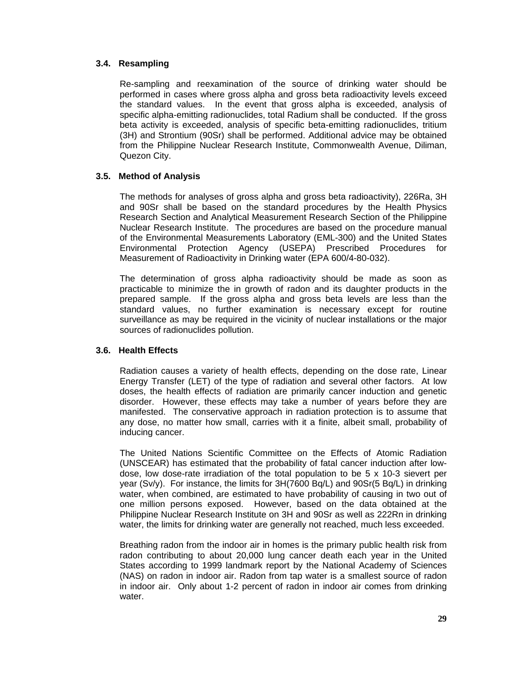## **3.4. Resampling**

Re-sampling and reexamination of the source of drinking water should be performed in cases where gross alpha and gross beta radioactivity levels exceed the standard values. In the event that gross alpha is exceeded, analysis of specific alpha-emitting radionuclides, total Radium shall be conducted. If the gross beta activity is exceeded, analysis of specific beta-emitting radionuclides, tritium (3H) and Strontium (90Sr) shall be performed. Additional advice may be obtained from the Philippine Nuclear Research Institute, Commonwealth Avenue, Diliman, Quezon City.

## **3.5. Method of Analysis**

The methods for analyses of gross alpha and gross beta radioactivity), 226Ra, 3H and 90Sr shall be based on the standard procedures by the Health Physics Research Section and Analytical Measurement Research Section of the Philippine Nuclear Research Institute. The procedures are based on the procedure manual of the Environmental Measurements Laboratory (EML-300) and the United States Environmental Protection Agency (USEPA) Prescribed Procedures for Measurement of Radioactivity in Drinking water (EPA 600/4-80-032).

The determination of gross alpha radioactivity should be made as soon as practicable to minimize the in growth of radon and its daughter products in the prepared sample. If the gross alpha and gross beta levels are less than the standard values, no further examination is necessary except for routine surveillance as may be required in the vicinity of nuclear installations or the major sources of radionuclides pollution.

#### **3.6. Health Effects**

Radiation causes a variety of health effects, depending on the dose rate, Linear Energy Transfer (LET) of the type of radiation and several other factors. At low doses, the health effects of radiation are primarily cancer induction and genetic disorder. However, these effects may take a number of years before they are manifested. The conservative approach in radiation protection is to assume that any dose, no matter how small, carries with it a finite, albeit small, probability of inducing cancer.

The United Nations Scientific Committee on the Effects of Atomic Radiation (UNSCEAR) has estimated that the probability of fatal cancer induction after lowdose, low dose-rate irradiation of the total population to be 5 x 10-3 sievert per year (Sv/y). For instance, the limits for 3H(7600 Bq/L) and 90Sr(5 Bq/L) in drinking water, when combined, are estimated to have probability of causing in two out of one million persons exposed. However, based on the data obtained at the Philippine Nuclear Research Institute on 3H and 90Sr as well as 222Rn in drinking water, the limits for drinking water are generally not reached, much less exceeded.

Breathing radon from the indoor air in homes is the primary public health risk from radon contributing to about 20,000 lung cancer death each year in the United States according to 1999 landmark report by the National Academy of Sciences (NAS) on radon in indoor air. Radon from tap water is a smallest source of radon in indoor air. Only about 1-2 percent of radon in indoor air comes from drinking water.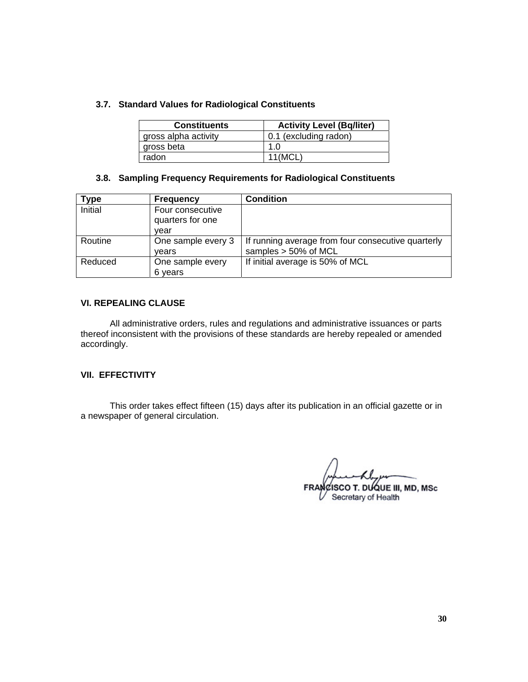# **3.7. Standard Values for Radiological Constituents**

| <b>Constituents</b>  | <b>Activity Level (Bq/liter)</b> |
|----------------------|----------------------------------|
| gross alpha activity | 0.1 (excluding radon)            |
| gross beta           | 1.0                              |
| radon                | 11(MCL)                          |

## **3.8. Sampling Frequency Requirements for Radiological Constituents**

| vpe     | <b>Frequency</b>                             | <b>Condition</b>                                                           |
|---------|----------------------------------------------|----------------------------------------------------------------------------|
| Initial | Four consecutive<br>quarters for one<br>vear |                                                                            |
| Routine | One sample every 3<br>vears                  | If running average from four consecutive quarterly<br>samples > 50% of MCL |
| Reduced | One sample every<br>6 years                  | If initial average is 50% of MCL                                           |

## **VI. REPEALING CLAUSE**

All administrative orders, rules and regulations and administrative issuances or parts thereof inconsistent with the provisions of these standards are hereby repealed or amended accordingly.

#### **VII. EFFECTIVITY**

 This order takes effect fifteen (15) days after its publication in an official gazette or in a newspaper of general circulation.

FRANCISCO T. DUQUE III, MD, MSc

 $\mathcal V$  Secretary of Health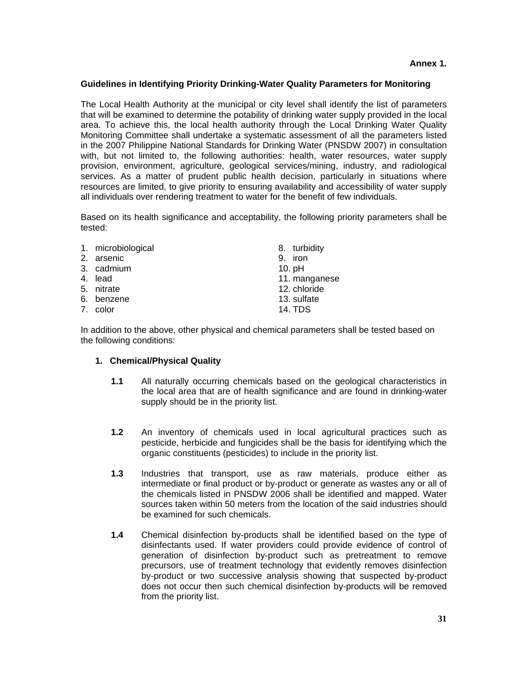### **Guidelines in Identifying Priority Drinking-Water Quality Parameters for Monitoring**

The Local Health Authority at the municipal or city level shall identify the list of parameters that will be examined to determine the potability of drinking water supply provided in the local area. To achieve this, the local health authority through the Local Drinking Water Quality Monitoring Committee shall undertake a systematic assessment of all the parameters listed in the 2007 Philippine National Standards for Drinking Water (PNSDW 2007) in consultation with, but not limited to, the following authorities: health, water resources, water supply provision, environment, agriculture, geological services/mining, industry, and radiological services. As a matter of prudent public health decision, particularly in situations where resources are limited, to give priority to ensuring availability and accessibility of water supply all individuals over rendering treatment to water for the benefit of few individuals.

Based on its health significance and acceptability, the following priority parameters shall be tested:

1. microbiological 2. arsenic 3. cadmium 4. lead 5. nitrate 6. benzene 8. turbidity 9. iron 10. pH 11. manganese 12. chloride

7. color

13. sulfate

14. TDS

In addition to the above, other physical and chemical parameters shall be tested based on the following conditions:

# **1. Chemical/Physical Quality**

- **1.1** All naturally occurring chemicals based on the geological characteristics in the local area that are of health significance and are found in drinking-water supply should be in the priority list.
- **1.2** An inventory of chemicals used in local agricultural practices such as pesticide, herbicide and fungicides shall be the basis for identifying which the organic constituents (pesticides) to include in the priority list.
- **1.3** Industries that transport, use as raw materials, produce either as intermediate or final product or by-product or generate as wastes any or all of the chemicals listed in PNSDW 2006 shall be identified and mapped. Water sources taken within 50 meters from the location of the said industries should be examined for such chemicals.
- **1.4** Chemical disinfection by-products shall be identified based on the type of disinfectants used. If water providers could provide evidence of control of generation of disinfection by-product such as pretreatment to remove precursors, use of treatment technology that evidently removes disinfection by-product or two successive analysis showing that suspected by-product does not occur then such chemical disinfection by-products will be removed from the priority list.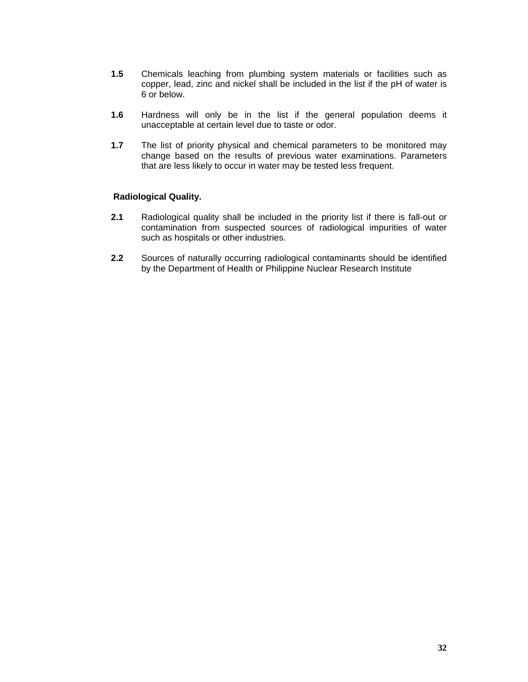- **1.5** Chemicals leaching from plumbing system materials or facilities such as copper, lead, zinc and nickel shall be included in the list if the pH of water is 6 or below.
- **1.6** Hardness will only be in the list if the general population deems it unacceptable at certain level due to taste or odor.
- **1.7** The list of priority physical and chemical parameters to be monitored may change based on the results of previous water examinations. Parameters that are less likely to occur in water may be tested less frequent.

## **Radiological Quality.**

- **2.1** Radiological quality shall be included in the priority list if there is fall-out or contamination from suspected sources of radiological impurities of water such as hospitals or other industries.
- **2.2** Sources of naturally occurring radiological contaminants should be identified by the Department of Health or Philippine Nuclear Research Institute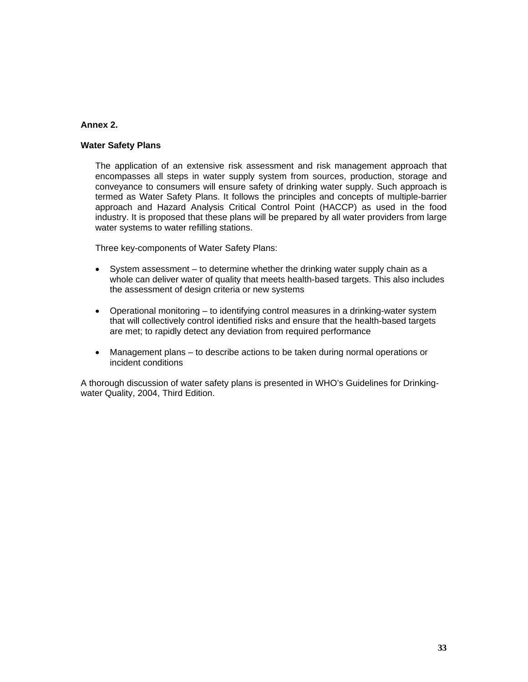# **Annex 2.**

# **Water Safety Plans**

The application of an extensive risk assessment and risk management approach that encompasses all steps in water supply system from sources, production, storage and conveyance to consumers will ensure safety of drinking water supply. Such approach is termed as Water Safety Plans. It follows the principles and concepts of multiple-barrier approach and Hazard Analysis Critical Control Point (HACCP) as used in the food industry. It is proposed that these plans will be prepared by all water providers from large water systems to water refilling stations.

Three key-components of Water Safety Plans:

- System assessment to determine whether the drinking water supply chain as a whole can deliver water of quality that meets health-based targets. This also includes the assessment of design criteria or new systems
- Operational monitoring to identifying control measures in a drinking-water system that will collectively control identified risks and ensure that the health-based targets are met; to rapidly detect any deviation from required performance
- Management plans to describe actions to be taken during normal operations or incident conditions

A thorough discussion of water safety plans is presented in WHO's Guidelines for Drinkingwater Quality, 2004, Third Edition.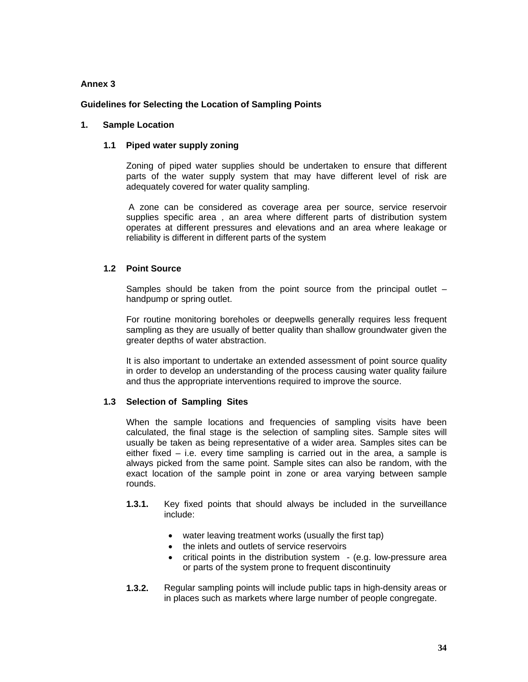## **Annex 3**

## **Guidelines for Selecting the Location of Sampling Points**

### **1. Sample Location**

### **1.1 Piped water supply zoning**

Zoning of piped water supplies should be undertaken to ensure that different parts of the water supply system that may have different level of risk are adequately covered for water quality sampling.

 A zone can be considered as coverage area per source, service reservoir supplies specific area , an area where different parts of distribution system operates at different pressures and elevations and an area where leakage or reliability is different in different parts of the system

# **1.2 Point Source**

Samples should be taken from the point source from the principal outlet – handpump or spring outlet.

For routine monitoring boreholes or deepwells generally requires less frequent sampling as they are usually of better quality than shallow groundwater given the greater depths of water abstraction.

It is also important to undertake an extended assessment of point source quality in order to develop an understanding of the process causing water quality failure and thus the appropriate interventions required to improve the source.

# **1.3 Selection of Sampling Sites**

When the sample locations and frequencies of sampling visits have been calculated, the final stage is the selection of sampling sites. Sample sites will usually be taken as being representative of a wider area. Samples sites can be either fixed – i.e. every time sampling is carried out in the area, a sample is always picked from the same point. Sample sites can also be random, with the exact location of the sample point in zone or area varying between sample rounds.

- **1.3.1.** Key fixed points that should always be included in the surveillance include:
	- water leaving treatment works (usually the first tap)
	- the inlets and outlets of service reservoirs
	- critical points in the distribution system  $-$  (e.g. low-pressure area or parts of the system prone to frequent discontinuity
- **1.3.2.** Regular sampling points will include public taps in high-density areas or in places such as markets where large number of people congregate.